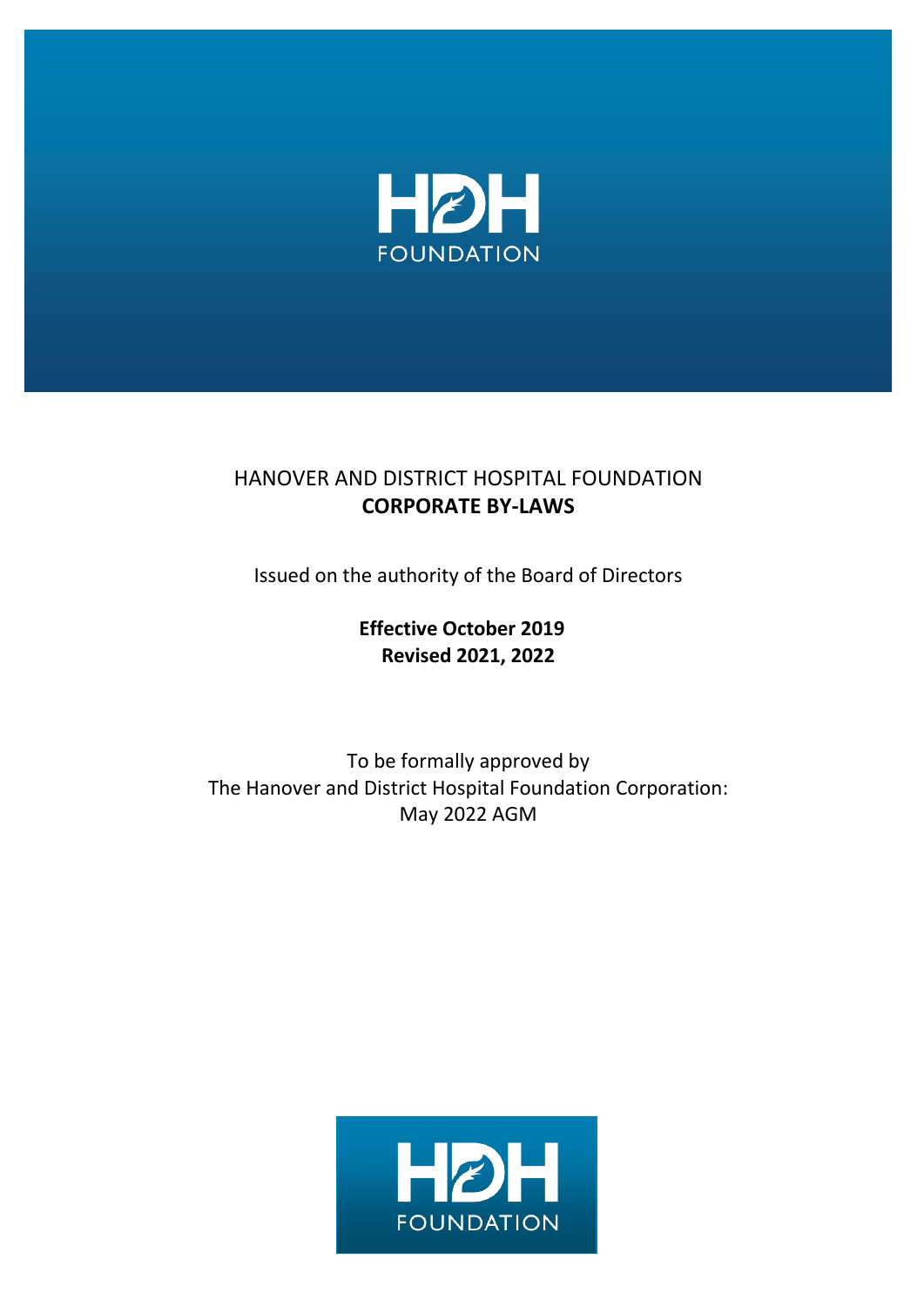

## HANOVER AND DISTRICT HOSPITAL FOUNDATION **CORPORATE BY-LAWS**

Issued on the authority of the Board of Directors

**Effective October 2019 Revised 2021, 2022**

To be formally approved by The Hanover and District Hospital Foundation Corporation: May 2022 AGM

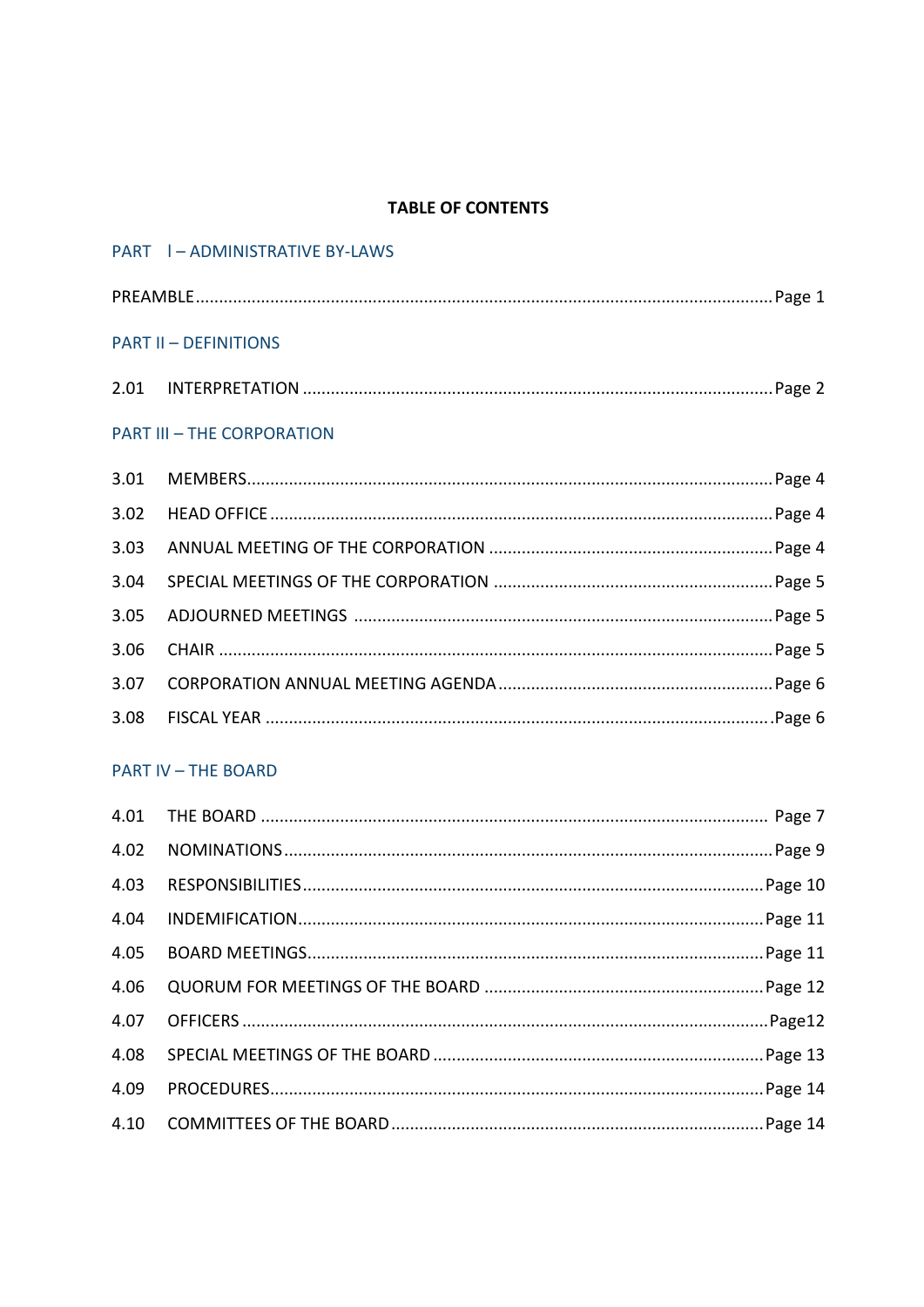#### **TABLE OF CONTENTS**

|                                   | PART   - ADMINISTRATIVE BY-LAWS |  |  |
|-----------------------------------|---------------------------------|--|--|
|                                   |                                 |  |  |
| <b>PART II - DEFINITIONS</b>      |                                 |  |  |
|                                   |                                 |  |  |
| <b>PART III - THE CORPORATION</b> |                                 |  |  |
| 3.01                              |                                 |  |  |
| 3.02                              |                                 |  |  |
| 3.03                              |                                 |  |  |
| 3.04                              |                                 |  |  |
| 3.05                              |                                 |  |  |
| 3.06                              |                                 |  |  |
| 3.07                              |                                 |  |  |
| 3.08                              |                                 |  |  |

#### **PART IV - THE BOARD**

| 4.03 |
|------|
| 4.04 |
| 4.05 |
| 4.06 |
|      |
| 4.08 |
| 4.09 |
|      |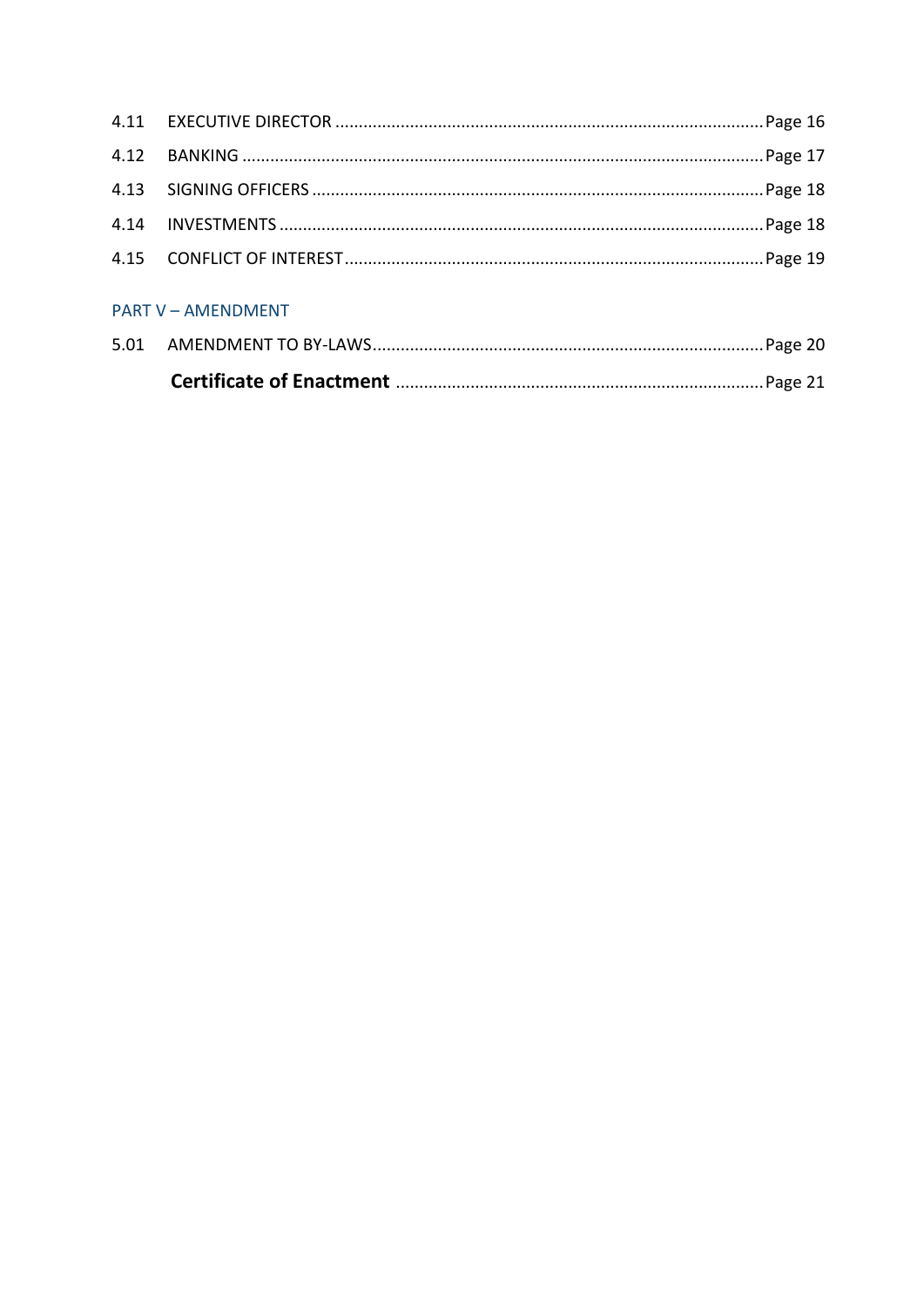| <b>PART V - AMENDMENT</b> |  |  |  |
|---------------------------|--|--|--|
|                           |  |  |  |
|                           |  |  |  |
|                           |  |  |  |
|                           |  |  |  |
|                           |  |  |  |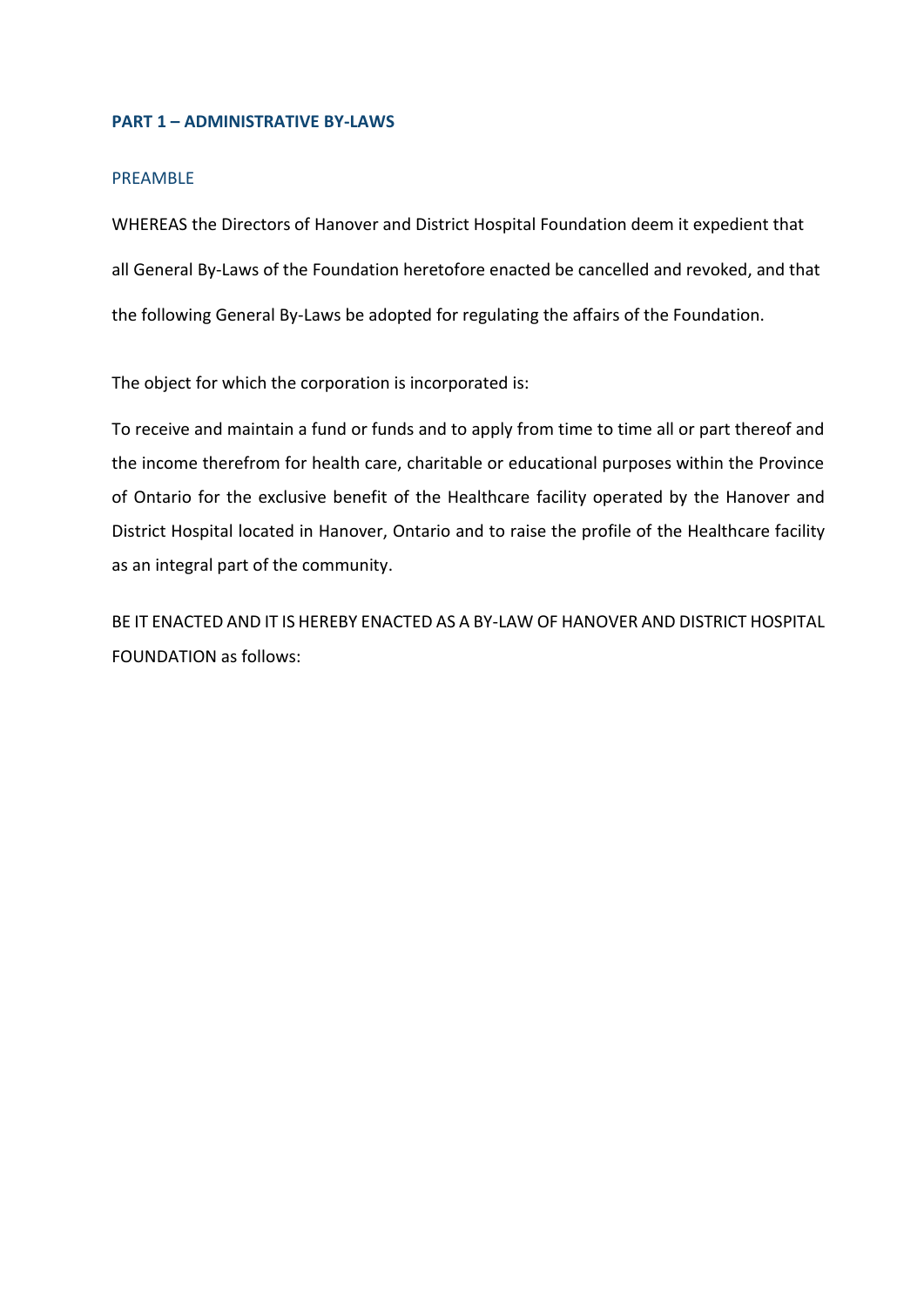#### **PART 1 – ADMINISTRATIVE BY-LAWS**

#### PREAMBLE

WHEREAS the Directors of Hanover and District Hospital Foundation deem it expedient that all General By-Laws of the Foundation heretofore enacted be cancelled and revoked, and that the following General By-Laws be adopted for regulating the affairs of the Foundation.

The object for which the corporation is incorporated is:

To receive and maintain a fund or funds and to apply from time to time all or part thereof and the income therefrom for health care, charitable or educational purposes within the Province of Ontario for the exclusive benefit of the Healthcare facility operated by the Hanover and District Hospital located in Hanover, Ontario and to raise the profile of the Healthcare facility as an integral part of the community.

BE IT ENACTED AND IT IS HEREBY ENACTED AS A BY-LAW OF HANOVER AND DISTRICT HOSPITAL FOUNDATION as follows: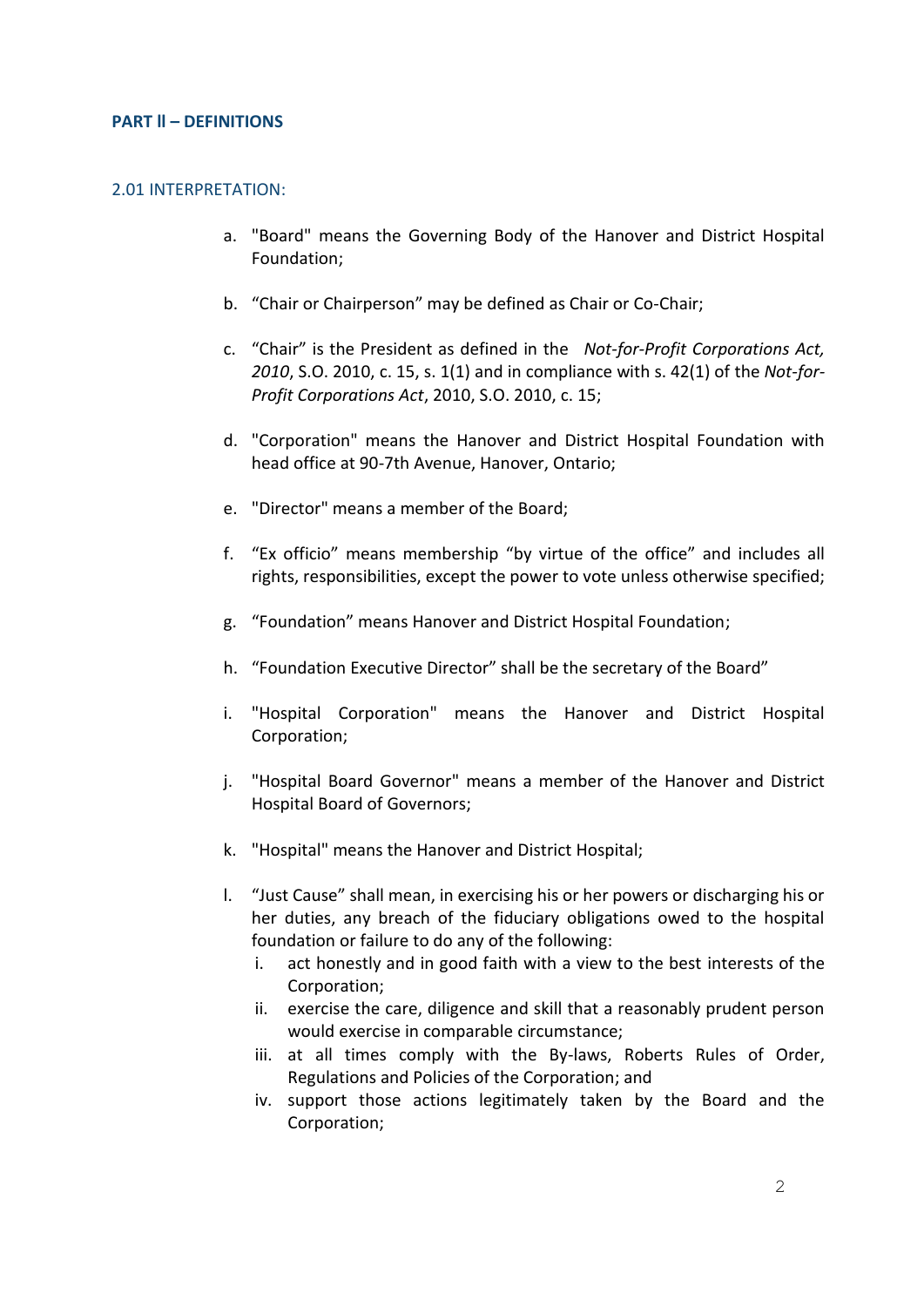#### **PART ll – DEFINITIONS**

#### 2.01 INTERPRETATION:

- a. "Board" means the Governing Body of the Hanover and District Hospital Foundation;
- b. "Chair or Chairperson" may be defined as Chair or Co-Chair;
- c. "Chair" is the President as defined in the *Not-for-Profit Corporations Act, 2010*, S.O. 2010, c. 15, s. 1(1) and in compliance with s. 42(1) of the *Not-for-Profit Corporations Act*, 2010, S.O. 2010, c. 15;
- d. "Corporation" means the Hanover and District Hospital Foundation with head office at 90-7th Avenue, Hanover, Ontario;
- e. "Director" means a member of the Board;
- f. "Ex officio" means membership "by virtue of the office" and includes all rights, responsibilities, except the power to vote unless otherwise specified;
- g. "Foundation" means Hanover and District Hospital Foundation;
- h. "Foundation Executive Director" shall be the secretary of the Board"
- i. "Hospital Corporation" means the Hanover and District Hospital Corporation;
- j. "Hospital Board Governor" means a member of the Hanover and District Hospital Board of Governors;
- k. "Hospital" means the Hanover and District Hospital;
- l. "Just Cause" shall mean, in exercising his or her powers or discharging his or her duties, any breach of the fiduciary obligations owed to the hospital foundation or failure to do any of the following:
	- i. act honestly and in good faith with a view to the best interests of the Corporation;
	- ii. exercise the care, diligence and skill that a reasonably prudent person would exercise in comparable circumstance;
	- iii. at all times comply with the By-laws, Roberts Rules of Order, Regulations and Policies of the Corporation; and
	- iv. support those actions legitimately taken by the Board and the Corporation;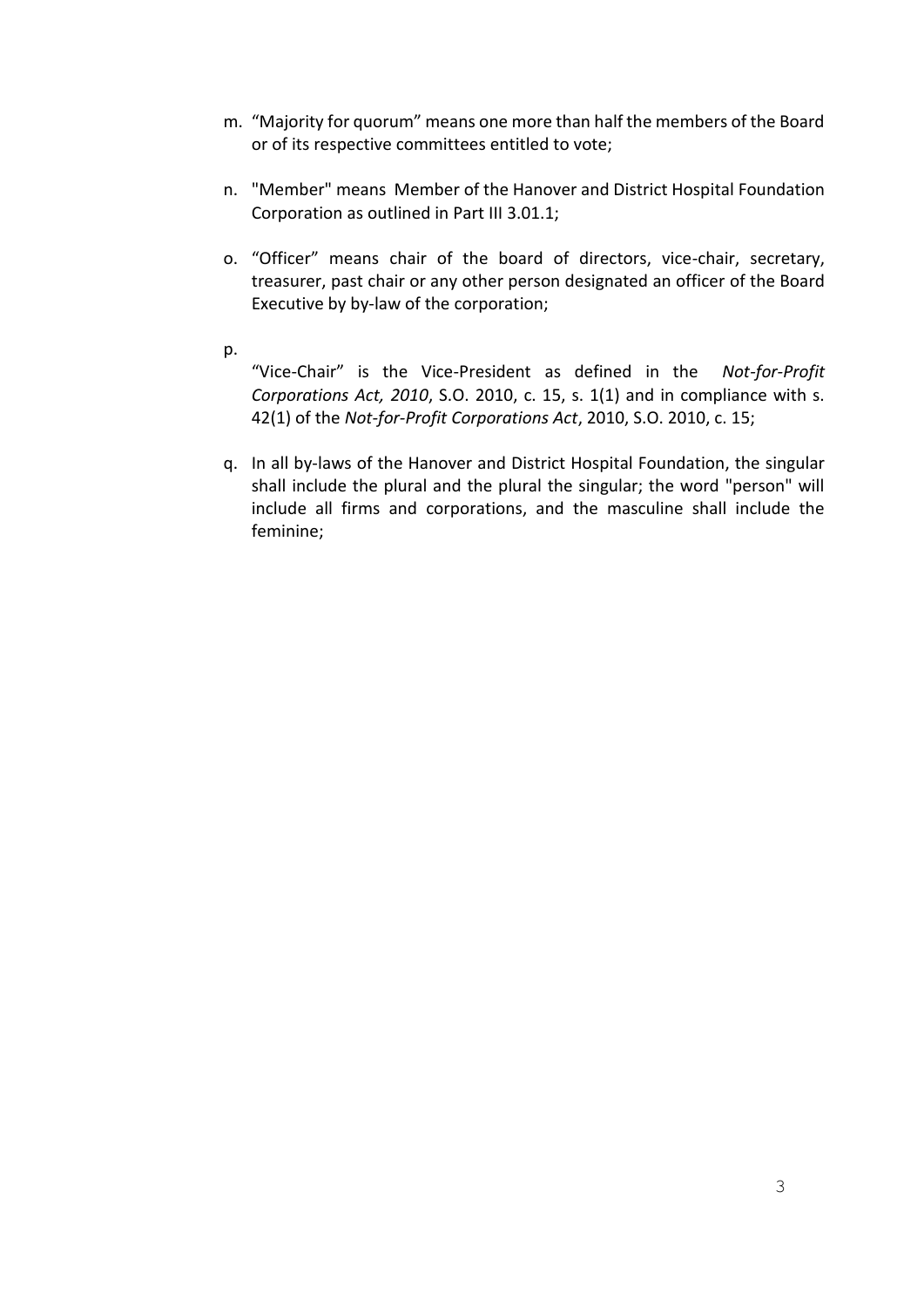- m. "Majority for quorum" means one more than half the members of the Board or of its respective committees entitled to vote;
- n. "Member" means Member of the Hanover and District Hospital Foundation Corporation as outlined in Part III 3.01.1;
- o. "Officer" means chair of the board of directors, vice-chair, secretary, treasurer, past chair or any other person designated an officer of the Board Executive by by-law of the corporation;
- p.

"Vice-Chair" is the Vice-President as defined in the *Not-for-Profit Corporations Act, 2010*, S.O. 2010, c. 15, s. 1(1) and in compliance with s. 42(1) of the *Not-for-Profit Corporations Act*, 2010, S.O. 2010, c. 15;

q. In all by-laws of the Hanover and District Hospital Foundation, the singular shall include the plural and the plural the singular; the word "person" will include all firms and corporations, and the masculine shall include the feminine;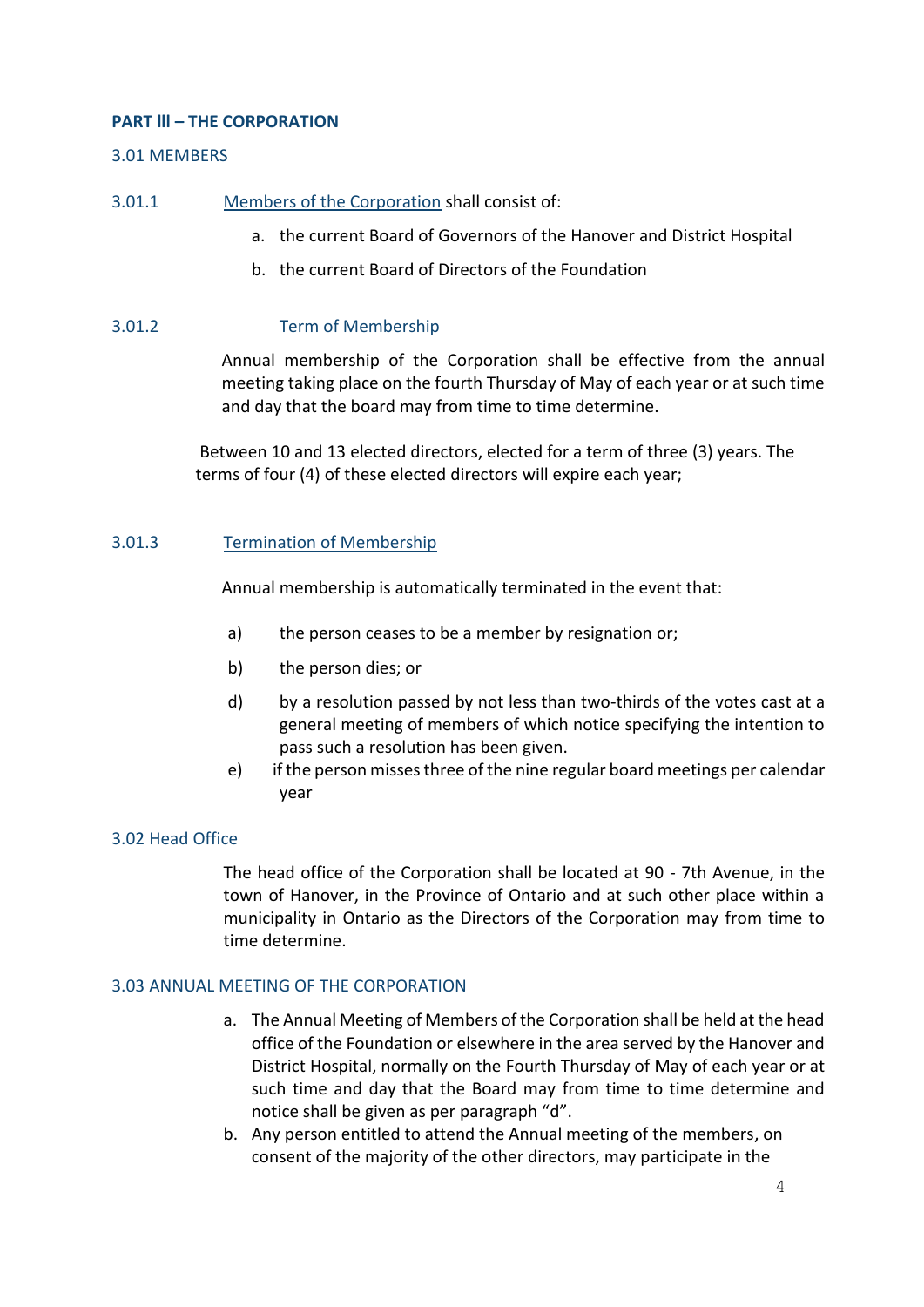#### **PART lll – THE CORPORATION**

#### 3.01 MEMBERS

- 3.01.1 Members of the Corporation shall consist of:
	- a. the current Board of Governors of the Hanover and District Hospital
	- b. the current Board of Directors of the Foundation

#### 3.01.2 Term of Membership

Annual membership of the Corporation shall be effective from the annual meeting taking place on the fourth Thursday of May of each year or at such time and day that the board may from time to time determine.

Between 10 and 13 elected directors, elected for a term of three (3) years. The terms of four (4) of these elected directors will expire each year;

#### 3.01.3 Termination of Membership

Annual membership is automatically terminated in the event that:

- a) the person ceases to be a member by resignation or;
- b) the person dies; or
- d) by a resolution passed by not less than two-thirds of the votes cast at a general meeting of members of which notice specifying the intention to pass such a resolution has been given.
- e) if the person misses three of the nine regular board meetings per calendar year

#### 3.02 Head Office

The head office of the Corporation shall be located at 90 - 7th Avenue, in the town of Hanover, in the Province of Ontario and at such other place within a municipality in Ontario as the Directors of the Corporation may from time to time determine.

#### 3.03 ANNUAL MEETING OF THE CORPORATION

- a. The Annual Meeting of Members of the Corporation shall be held at the head office of the Foundation or elsewhere in the area served by the Hanover and District Hospital, normally on the Fourth Thursday of May of each year or at such time and day that the Board may from time to time determine and notice shall be given as per paragraph "d".
- b. Any person entitled to attend the Annual meeting of the members, on consent of the majority of the other directors, may participate in the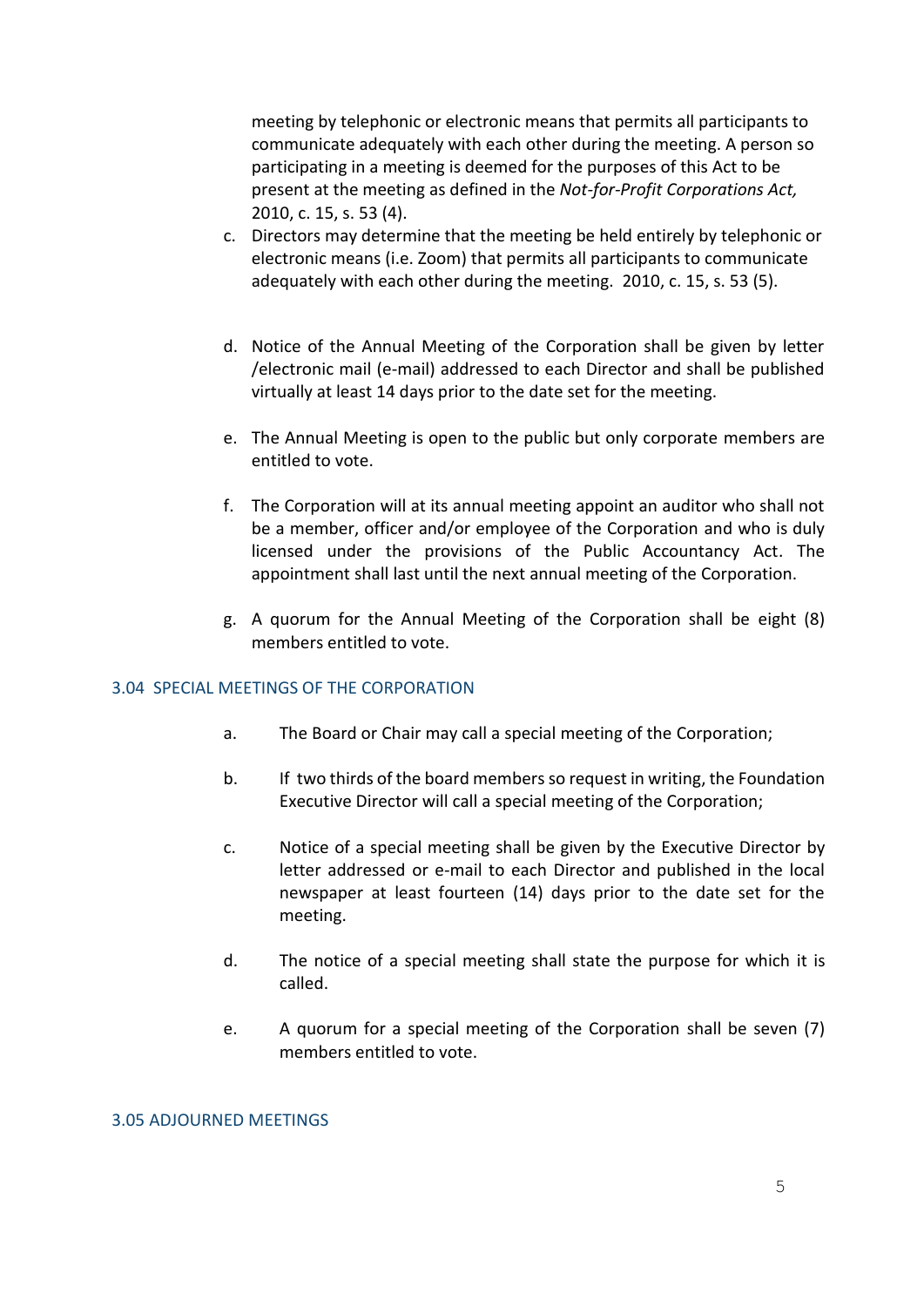meeting by telephonic or electronic means that permits all participants to communicate adequately with each other during the meeting. A person so participating in a meeting is deemed for the purposes of this Act to be present at the meeting as defined in the *Not-for-Profit Corporations Act,* 2010, c. 15, s. 53 (4).

- c. Directors may determine that the meeting be held entirely by telephonic or electronic means (i.e. Zoom) that permits all participants to communicate adequately with each other during the meeting. 2010, c. 15, s. 53 (5).
- d. Notice of the Annual Meeting of the Corporation shall be given by letter /electronic mail (e-mail) addressed to each Director and shall be published virtually at least 14 days prior to the date set for the meeting.
- e. The Annual Meeting is open to the public but only corporate members are entitled to vote.
- f. The Corporation will at its annual meeting appoint an auditor who shall not be a member, officer and/or employee of the Corporation and who is duly licensed under the provisions of the Public Accountancy Act. The appointment shall last until the next annual meeting of the Corporation.
- g. A quorum for the Annual Meeting of the Corporation shall be eight (8) members entitled to vote.

#### 3.04 SPECIAL MEETINGS OF THE CORPORATION

- a. The Board or Chair may call a special meeting of the Corporation;
- b. If two thirds of the board members so request in writing, the Foundation Executive Director will call a special meeting of the Corporation;
- c. Notice of a special meeting shall be given by the Executive Director by letter addressed or e-mail to each Director and published in the local newspaper at least fourteen (14) days prior to the date set for the meeting.
- d. The notice of a special meeting shall state the purpose for which it is called.
- e. A quorum for a special meeting of the Corporation shall be seven (7) members entitled to vote.

#### 3.05 ADJOURNED MEETINGS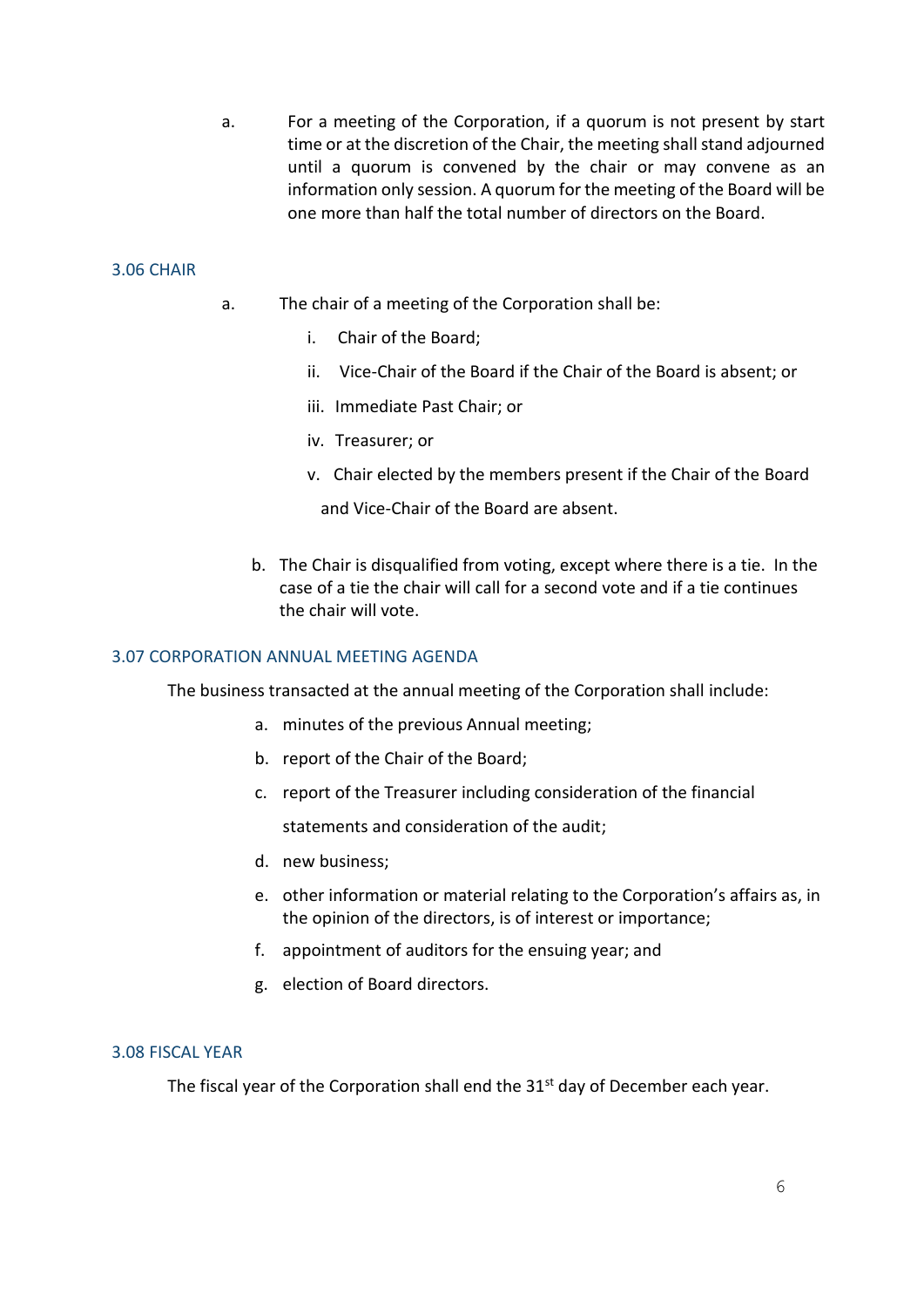a. For a meeting of the Corporation, if a quorum is not present by start time or at the discretion of the Chair, the meeting shall stand adjourned until a quorum is convened by the chair or may convene as an information only session. A quorum for the meeting of the Board will be one more than half the total number of directors on the Board.

#### 3.06 CHAIR

- a. The chair of a meeting of the Corporation shall be:
	- i. Chair of the Board;
	- ii. Vice-Chair of the Board if the Chair of the Board is absent; or
	- iii. Immediate Past Chair; or
	- iv. Treasurer; or
	- v. Chair elected by the members present if the Chair of the Board

and Vice-Chair of the Board are absent.

b. The Chair is disqualified from voting, except where there is a tie. In the case of a tie the chair will call for a second vote and if a tie continues the chair will vote.

#### 3.07 CORPORATION ANNUAL MEETING AGENDA

The business transacted at the annual meeting of the Corporation shall include:

- a. minutes of the previous Annual meeting;
- b. report of the Chair of the Board;
- c. report of the Treasurer including consideration of the financial

statements and consideration of the audit;

- d. new business;
- e. other information or material relating to the Corporation's affairs as, in the opinion of the directors, is of interest or importance;
- f. appointment of auditors for the ensuing year; and
- g. election of Board directors.

#### 3.08 FISCAL YEAR

The fiscal year of the Corporation shall end the 31<sup>st</sup> day of December each year.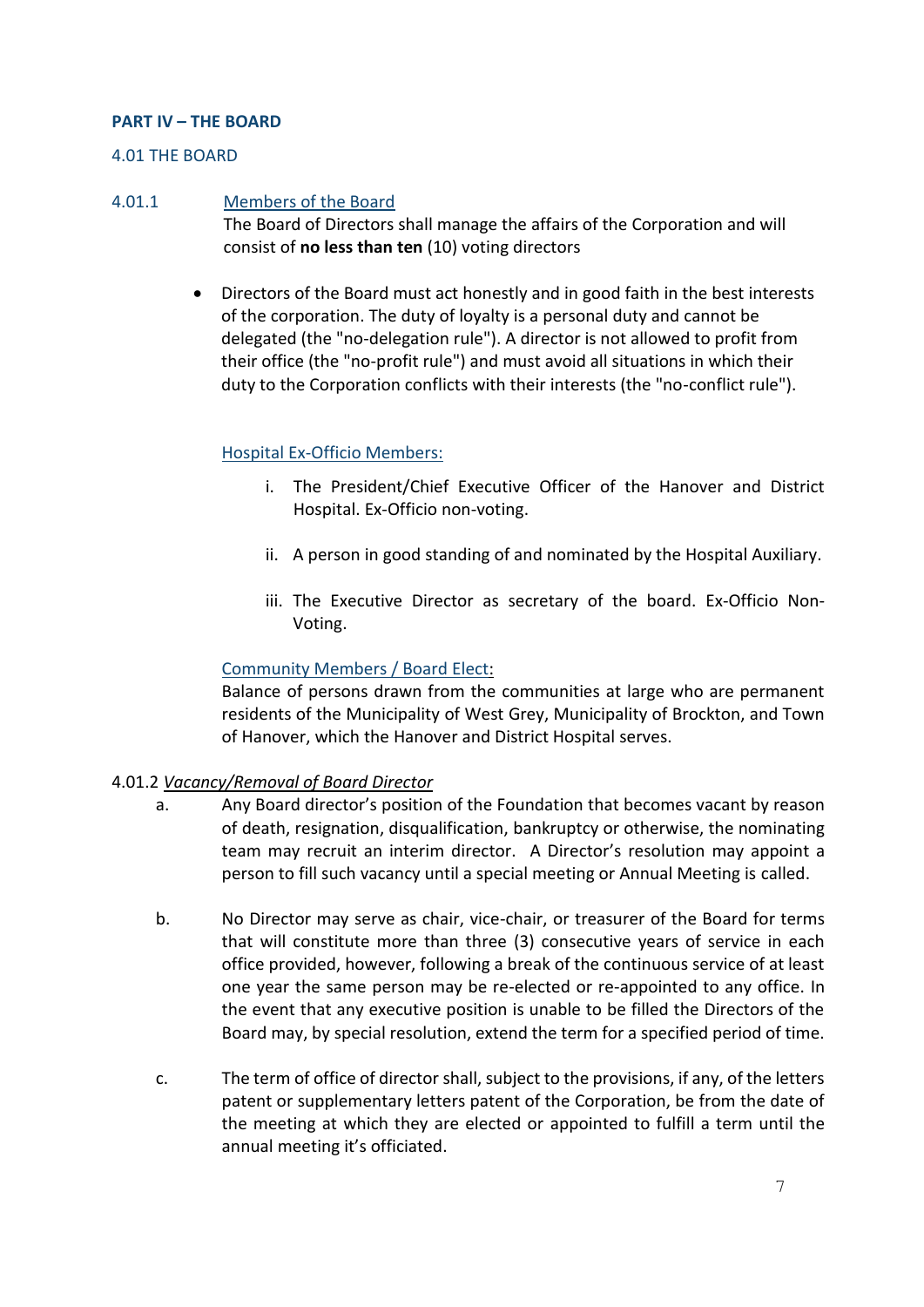#### **PART IV – THE BOARD**

#### 4.01 THE BOARD

#### 4.01.1 Members of the Board

The Board of Directors shall manage the affairs of the Corporation and will consist of **no less than ten** (10) voting directors

 Directors of the Board must act honestly and in good faith in the best interests of the corporation. The duty of loyalty is a personal duty and cannot be delegated (the "no-delegation rule"). A director is not allowed to profit from their office (the "no-profit rule") and must avoid all situations in which their duty to the Corporation conflicts with their interests (the "no-conflict rule").

#### Hospital Ex-Officio Members:

- i. The President/Chief Executive Officer of the Hanover and District Hospital. Ex-Officio non-voting.
- ii. A person in good standing of and nominated by the Hospital Auxiliary.
- iii. The Executive Director as secretary of the board. Ex-Officio Non-Voting.

#### Community Members / Board Elect:

Balance of persons drawn from the communities at large who are permanent residents of the Municipality of West Grey, Municipality of Brockton, and Town of Hanover, which the Hanover and District Hospital serves.

#### 4.01.2 *Vacancy/Removal of Board Director*

- a. Any Board director's position of the Foundation that becomes vacant by reason of death, resignation, disqualification, bankruptcy or otherwise, the nominating team may recruit an interim director. A Director's resolution may appoint a person to fill such vacancy until a special meeting or Annual Meeting is called.
- b. No Director may serve as chair, vice-chair, or treasurer of the Board for terms that will constitute more than three (3) consecutive years of service in each office provided, however, following a break of the continuous service of at least one year the same person may be re-elected or re-appointed to any office. In the event that any executive position is unable to be filled the Directors of the Board may, by special resolution, extend the term for a specified period of time.
- c. The term of office of director shall, subject to the provisions, if any, of the letters patent or supplementary letters patent of the Corporation, be from the date of the meeting at which they are elected or appointed to fulfill a term until the annual meeting it's officiated.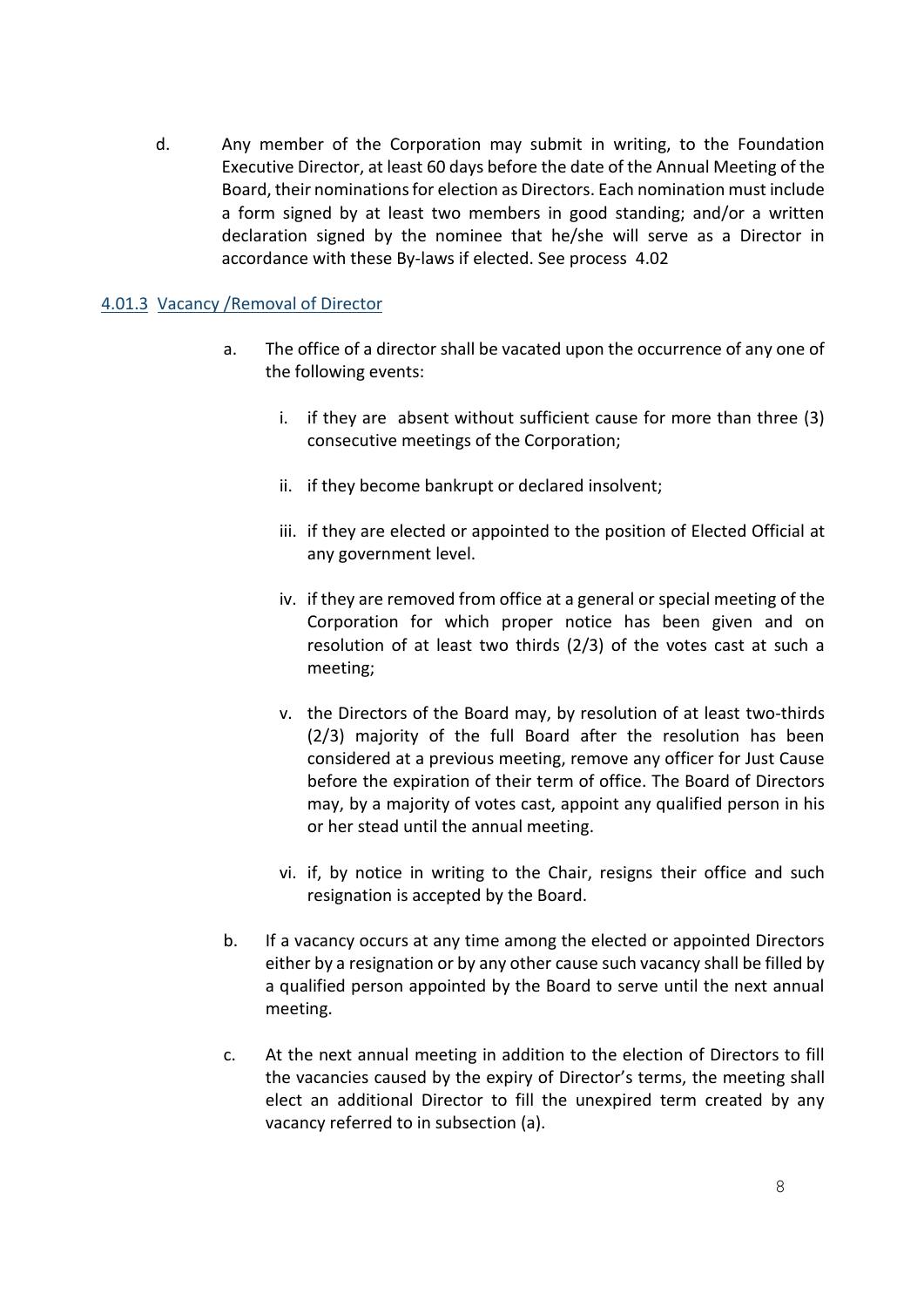d. Any member of the Corporation may submit in writing, to the Foundation Executive Director, at least 60 days before the date of the Annual Meeting of the Board, their nominations for election as Directors. Each nomination must include a form signed by at least two members in good standing; and/or a written declaration signed by the nominee that he/she will serve as a Director in accordance with these By-laws if elected. See process 4.02

#### 4.01.3 Vacancy /Removal of Director

- a. The office of a director shall be vacated upon the occurrence of any one of the following events:
	- i. if they are absent without sufficient cause for more than three (3) consecutive meetings of the Corporation;
	- ii. if they become bankrupt or declared insolvent;
	- iii. if they are elected or appointed to the position of Elected Official at any government level.
	- iv. if they are removed from office at a general or special meeting of the Corporation for which proper notice has been given and on resolution of at least two thirds (2/3) of the votes cast at such a meeting;
	- v. the Directors of the Board may, by resolution of at least two-thirds (2/3) majority of the full Board after the resolution has been considered at a previous meeting, remove any officer for Just Cause before the expiration of their term of office. The Board of Directors may, by a majority of votes cast, appoint any qualified person in his or her stead until the annual meeting.
	- vi. if, by notice in writing to the Chair, resigns their office and such resignation is accepted by the Board.
- b. If a vacancy occurs at any time among the elected or appointed Directors either by a resignation or by any other cause such vacancy shall be filled by a qualified person appointed by the Board to serve until the next annual meeting.
- c. At the next annual meeting in addition to the election of Directors to fill the vacancies caused by the expiry of Director's terms, the meeting shall elect an additional Director to fill the unexpired term created by any vacancy referred to in subsection (a).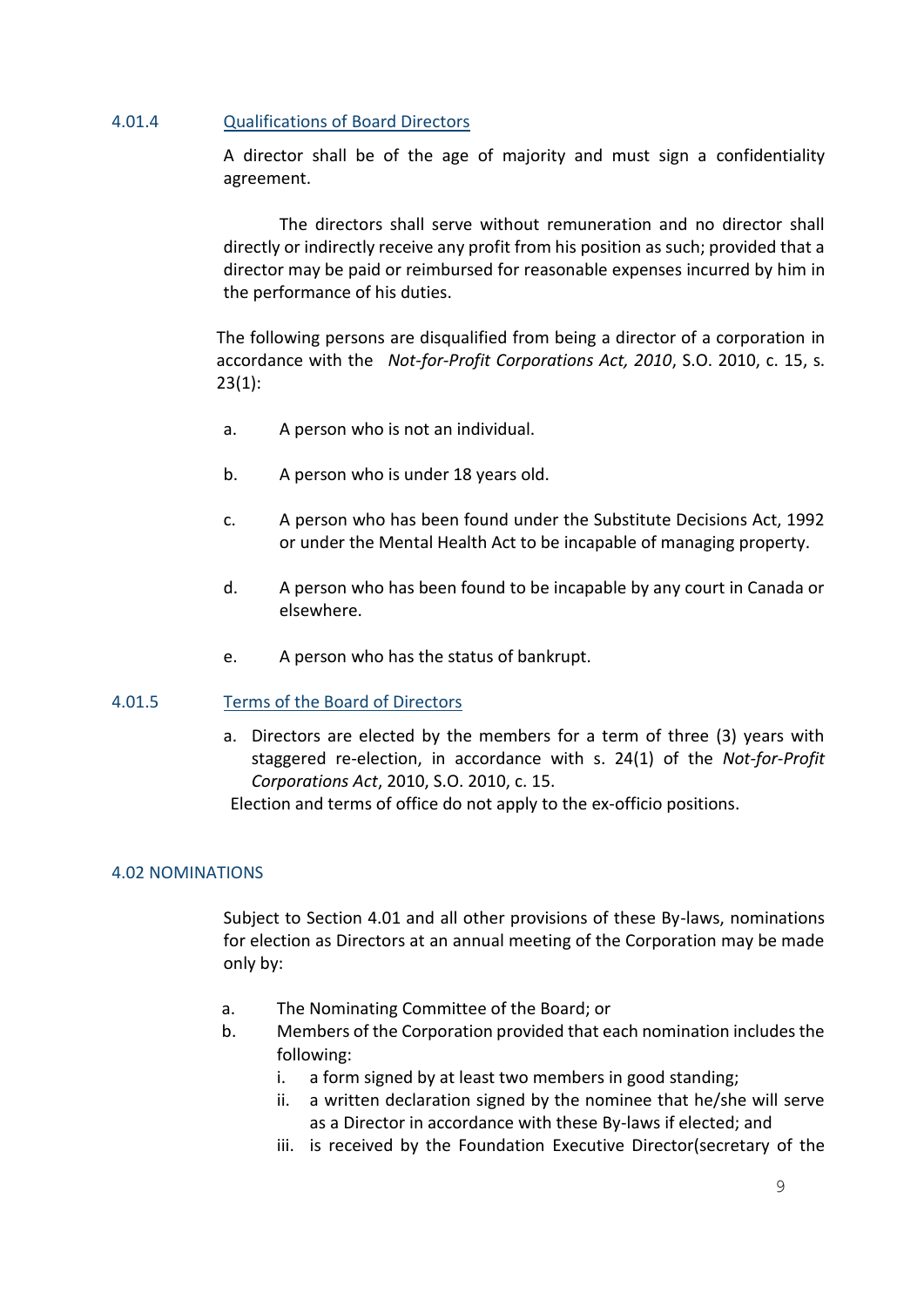#### 4.01.4 Qualifications of Board Directors

A director shall be of the age of majority and must sign a confidentiality agreement.

The directors shall serve without remuneration and no director shall directly or indirectly receive any profit from his position as such; provided that a director may be paid or reimbursed for reasonable expenses incurred by him in the performance of his duties.

The following persons are disqualified from being a director of a corporation in accordance with the *Not-for-Profit Corporations Act, 2010*, S.O. 2010, c. 15, s.  $23(1)$ :

- a. A person who is not an individual.
- b. A person who is under 18 years old.
- c. A person who has been found under the Substitute Decisions Act, 1992 or under the Mental Health Act to be incapable of managing property.
- d. A person who has been found to be incapable by any court in Canada or elsewhere.
- e. A person who has the status of bankrupt.

#### 4.01.5 Terms of the Board of Directors

a. Directors are elected by the members for a term of three (3) years with staggered re-election, in accordance with s. 24(1) of the *Not-for-Profit Corporations Act*, 2010, S.O. 2010, c. 15.

Election and terms of office do not apply to the ex-officio positions.

### 4.02 NOMINATIONS

Subject to Section 4.01 and all other provisions of these By-laws, nominations for election as Directors at an annual meeting of the Corporation may be made only by:

- a. The Nominating Committee of the Board; or
- b. Members of the Corporation provided that each nomination includes the following:
	- i. a form signed by at least two members in good standing;
	- ii. a written declaration signed by the nominee that he/she will serve as a Director in accordance with these By-laws if elected; and
	- iii. is received by the Foundation Executive Director(secretary of the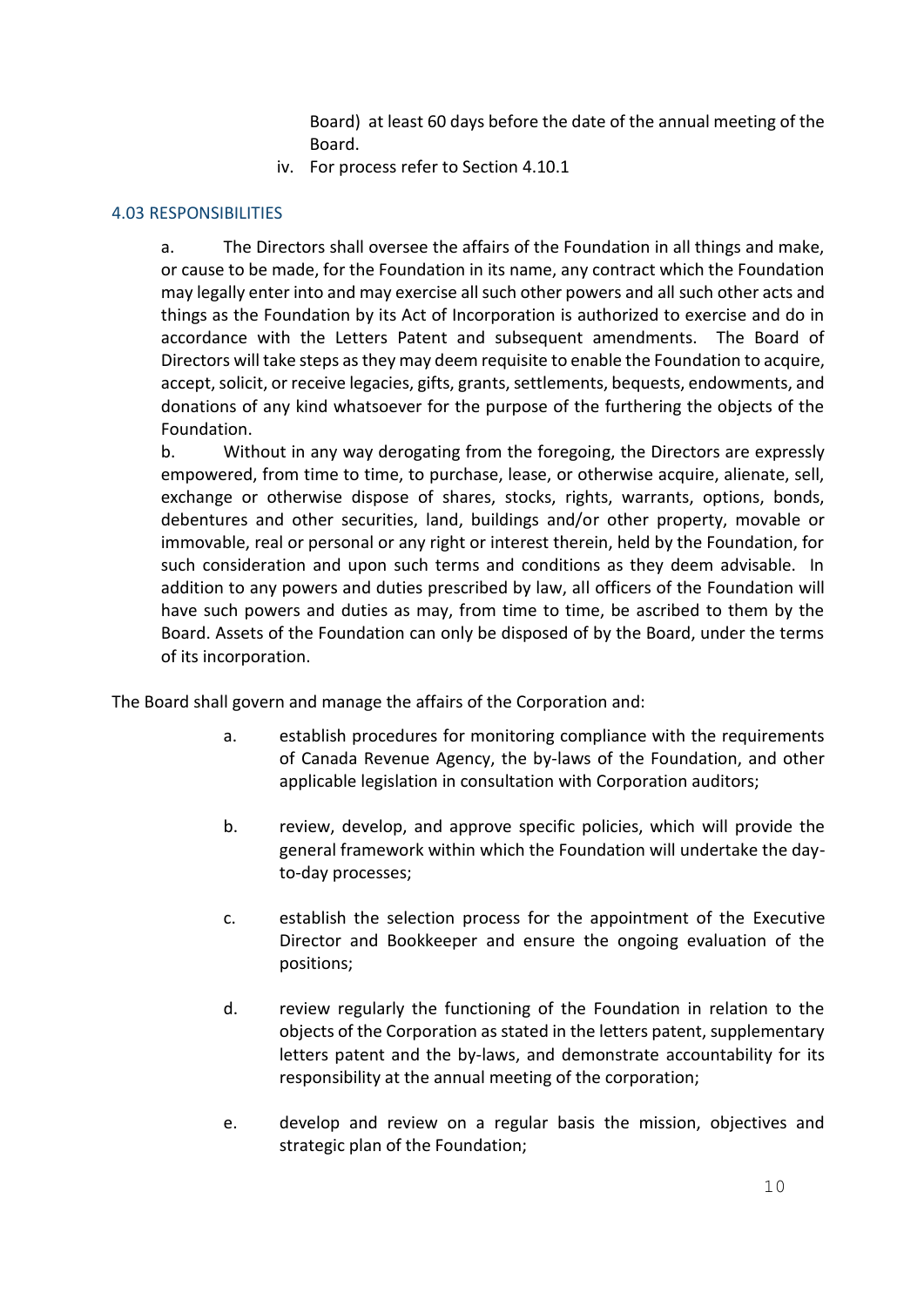Board) at least 60 days before the date of the annual meeting of the Board.

iv. For process refer to Section 4.10.1

#### 4.03 RESPONSIBILITIES

a. The Directors shall oversee the affairs of the Foundation in all things and make, or cause to be made, for the Foundation in its name, any contract which the Foundation may legally enter into and may exercise all such other powers and all such other acts and things as the Foundation by its Act of Incorporation is authorized to exercise and do in accordance with the Letters Patent and subsequent amendments. The Board of Directors will take steps as they may deem requisite to enable the Foundation to acquire, accept, solicit, or receive legacies, gifts, grants, settlements, bequests, endowments, and donations of any kind whatsoever for the purpose of the furthering the objects of the Foundation.

b. Without in any way derogating from the foregoing, the Directors are expressly empowered, from time to time, to purchase, lease, or otherwise acquire, alienate, sell, exchange or otherwise dispose of shares, stocks, rights, warrants, options, bonds, debentures and other securities, land, buildings and/or other property, movable or immovable, real or personal or any right or interest therein, held by the Foundation, for such consideration and upon such terms and conditions as they deem advisable. In addition to any powers and duties prescribed by law, all officers of the Foundation will have such powers and duties as may, from time to time, be ascribed to them by the Board. Assets of the Foundation can only be disposed of by the Board, under the terms of its incorporation.

The Board shall govern and manage the affairs of the Corporation and:

- a. establish procedures for monitoring compliance with the requirements of Canada Revenue Agency, the by-laws of the Foundation, and other applicable legislation in consultation with Corporation auditors;
- b. review, develop, and approve specific policies, which will provide the general framework within which the Foundation will undertake the dayto-day processes;
- c. establish the selection process for the appointment of the Executive Director and Bookkeeper and ensure the ongoing evaluation of the positions;
- d. review regularly the functioning of the Foundation in relation to the objects of the Corporation as stated in the letters patent, supplementary letters patent and the by-laws, and demonstrate accountability for its responsibility at the annual meeting of the corporation;
- e. develop and review on a regular basis the mission, objectives and strategic plan of the Foundation;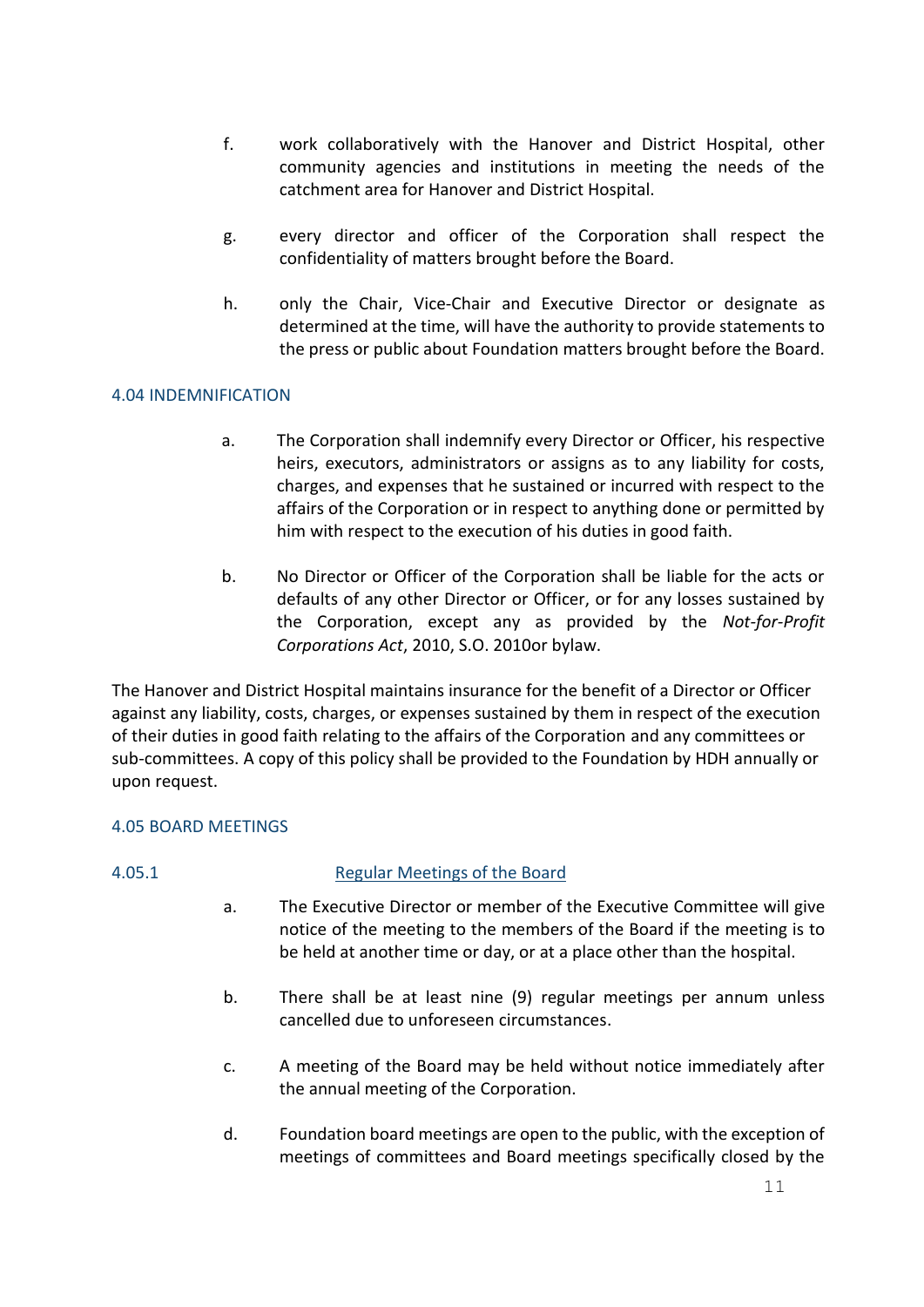- f. work collaboratively with the Hanover and District Hospital, other community agencies and institutions in meeting the needs of the catchment area for Hanover and District Hospital.
- g. every director and officer of the Corporation shall respect the confidentiality of matters brought before the Board.
- h. only the Chair, Vice-Chair and Executive Director or designate as determined at the time, will have the authority to provide statements to the press or public about Foundation matters brought before the Board.

#### 4.04 INDEMNIFICATION

- a. The Corporation shall indemnify every Director or Officer, his respective heirs, executors, administrators or assigns as to any liability for costs, charges, and expenses that he sustained or incurred with respect to the affairs of the Corporation or in respect to anything done or permitted by him with respect to the execution of his duties in good faith.
- b. No Director or Officer of the Corporation shall be liable for the acts or defaults of any other Director or Officer, or for any losses sustained by the Corporation, except any as provided by the *Not-for-Profit Corporations Act*, 2010, S.O. 2010or bylaw.

The Hanover and District Hospital maintains insurance for the benefit of a Director or Officer against any liability, costs, charges, or expenses sustained by them in respect of the execution of their duties in good faith relating to the affairs of the Corporation and any committees or sub-committees. A copy of this policy shall be provided to the Foundation by HDH annually or upon request.

#### 4.05 BOARD MEETINGS

### 4.05.1 Regular Meetings of the Board

- a. The Executive Director or member of the Executive Committee will give notice of the meeting to the members of the Board if the meeting is to be held at another time or day, or at a place other than the hospital.
- b. There shall be at least nine (9) regular meetings per annum unless cancelled due to unforeseen circumstances.
- c. A meeting of the Board may be held without notice immediately after the annual meeting of the Corporation.
- d. Foundation board meetings are open to the public, with the exception of meetings of committees and Board meetings specifically closed by the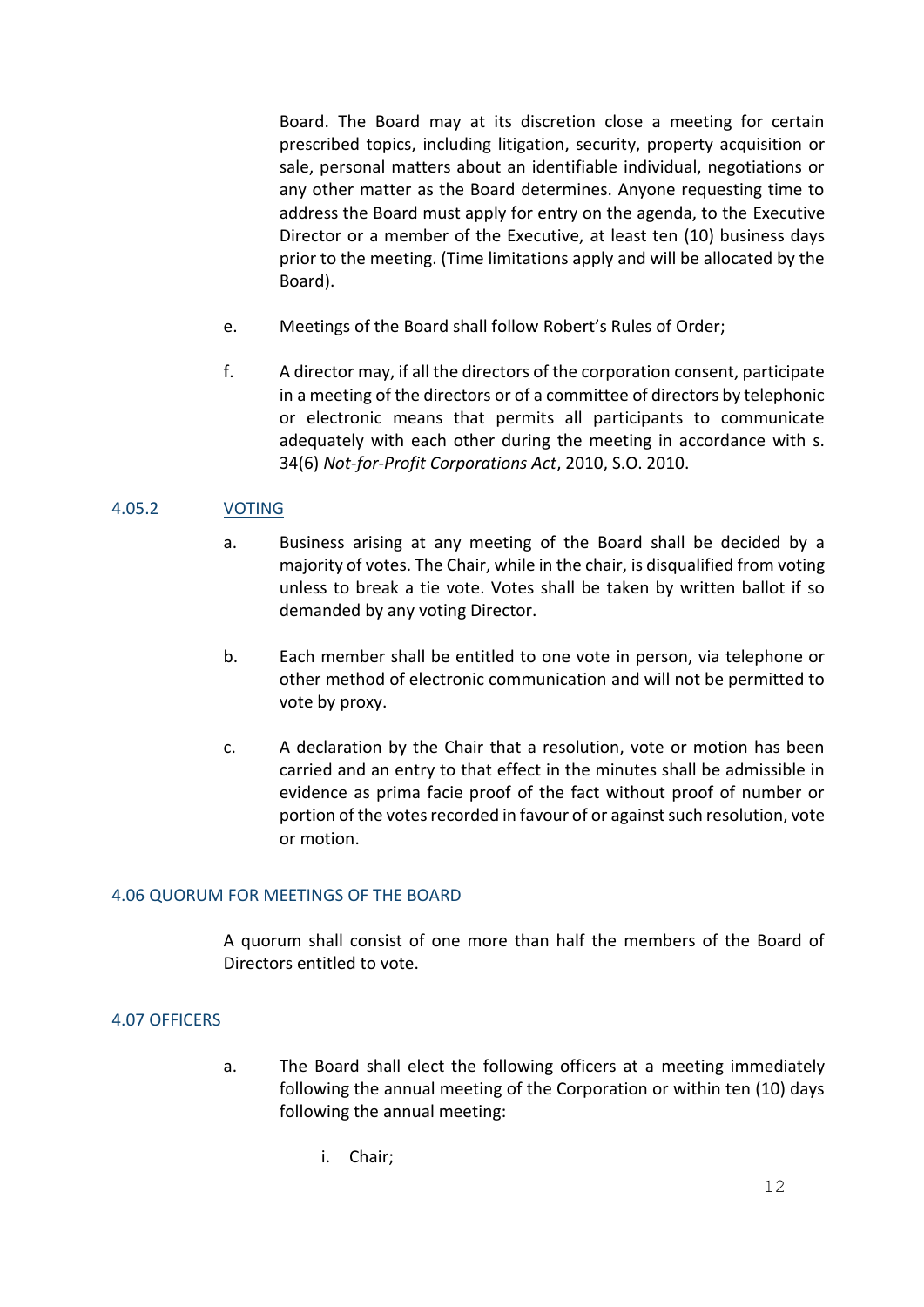Board. The Board may at its discretion close a meeting for certain prescribed topics, including litigation, security, property acquisition or sale, personal matters about an identifiable individual, negotiations or any other matter as the Board determines. Anyone requesting time to address the Board must apply for entry on the agenda, to the Executive Director or a member of the Executive, at least ten (10) business days prior to the meeting. (Time limitations apply and will be allocated by the Board).

- e. Meetings of the Board shall follow Robert's Rules of Order;
- f. A director may, if all the directors of the corporation consent, participate in a meeting of the directors or of a committee of directors by telephonic or electronic means that permits all participants to communicate adequately with each other during the meeting in accordance with s. 34(6) *Not-for-Profit Corporations Act*, 2010, S.O. 2010.

#### 4.05.2 VOTING

- a. Business arising at any meeting of the Board shall be decided by a majority of votes. The Chair, while in the chair, is disqualified from voting unless to break a tie vote. Votes shall be taken by written ballot if so demanded by any voting Director.
- b. Each member shall be entitled to one vote in person, via telephone or other method of electronic communication and will not be permitted to vote by proxy.
- c. A declaration by the Chair that a resolution, vote or motion has been carried and an entry to that effect in the minutes shall be admissible in evidence as prima facie proof of the fact without proof of number or portion of the votes recorded in favour of or against such resolution, vote or motion.

#### 4.06 QUORUM FOR MEETINGS OF THE BOARD

A quorum shall consist of one more than half the members of the Board of Directors entitled to vote.

#### 4.07 OFFICERS

- a. The Board shall elect the following officers at a meeting immediately following the annual meeting of the Corporation or within ten (10) days following the annual meeting:
	- i. Chair;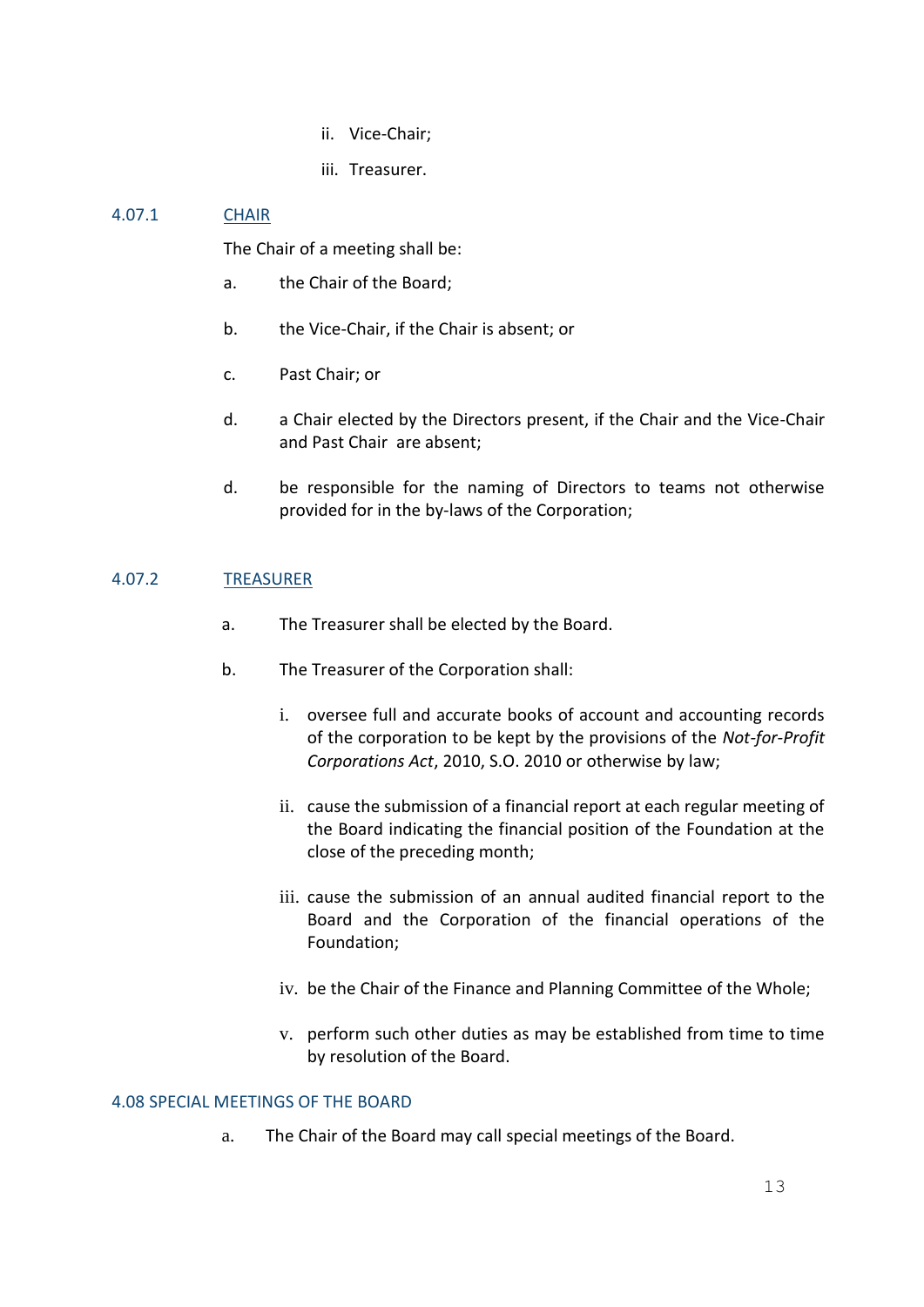- ii. Vice-Chair;
- iii. Treasurer.

### 4.07.1 CHAIR

The Chair of a meeting shall be:

- a. the Chair of the Board;
- b. the Vice-Chair, if the Chair is absent; or
- c. Past Chair; or
- d. a Chair elected by the Directors present, if the Chair and the Vice-Chair and Past Chair are absent;
- d. be responsible for the naming of Directors to teams not otherwise provided for in the by-laws of the Corporation;

#### 4.07.2 TREASURER

- a. The Treasurer shall be elected by the Board.
- b. The Treasurer of the Corporation shall:
	- i. oversee full and accurate books of account and accounting records of the corporation to be kept by the provisions of the *Not-for-Profit Corporations Act*, 2010, S.O. 2010 or otherwise by law;
	- ii. cause the submission of a financial report at each regular meeting of the Board indicating the financial position of the Foundation at the close of the preceding month;
	- iii. cause the submission of an annual audited financial report to the Board and the Corporation of the financial operations of the Foundation;
	- iv. be the Chair of the Finance and Planning Committee of the Whole;
	- v. perform such other duties as may be established from time to time by resolution of the Board.

#### 4.08 SPECIAL MEETINGS OF THE BOARD

a. The Chair of the Board may call special meetings of the Board.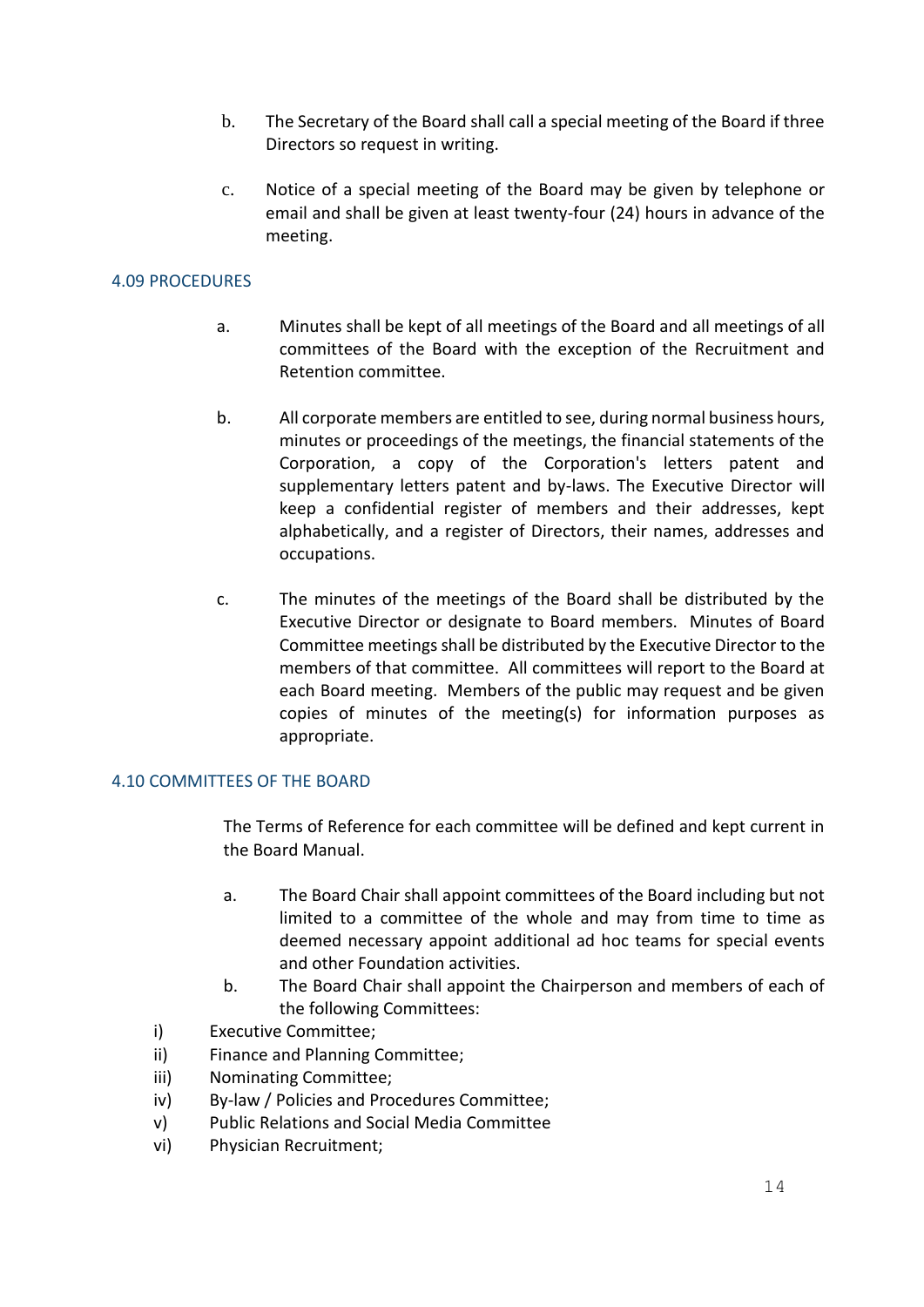- b. The Secretary of the Board shall call a special meeting of the Board if three Directors so request in writing.
- c. Notice of a special meeting of the Board may be given by telephone or email and shall be given at least twenty-four (24) hours in advance of the meeting.

#### 4.09 PROCEDURES

- a. Minutes shall be kept of all meetings of the Board and all meetings of all committees of the Board with the exception of the Recruitment and Retention committee.
- b. All corporate members are entitled to see, during normal business hours, minutes or proceedings of the meetings, the financial statements of the Corporation, a copy of the Corporation's letters patent and supplementary letters patent and by-laws. The Executive Director will keep a confidential register of members and their addresses, kept alphabetically, and a register of Directors, their names, addresses and occupations.
- c. The minutes of the meetings of the Board shall be distributed by the Executive Director or designate to Board members. Minutes of Board Committee meetings shall be distributed by the Executive Director to the members of that committee. All committees will report to the Board at each Board meeting. Members of the public may request and be given copies of minutes of the meeting(s) for information purposes as appropriate.

#### 4.10 COMMITTEES OF THE BOARD

The Terms of Reference for each committee will be defined and kept current in the Board Manual.

- a. The Board Chair shall appoint committees of the Board including but not limited to a committee of the whole and may from time to time as deemed necessary appoint additional ad hoc teams for special events and other Foundation activities.
- b. The Board Chair shall appoint the Chairperson and members of each of the following Committees:
- i) Executive Committee;
- ii) Finance and Planning Committee;
- iii) Nominating Committee;
- iv) By-law / Policies and Procedures Committee;
- v) Public Relations and Social Media Committee
- vi) Physician Recruitment;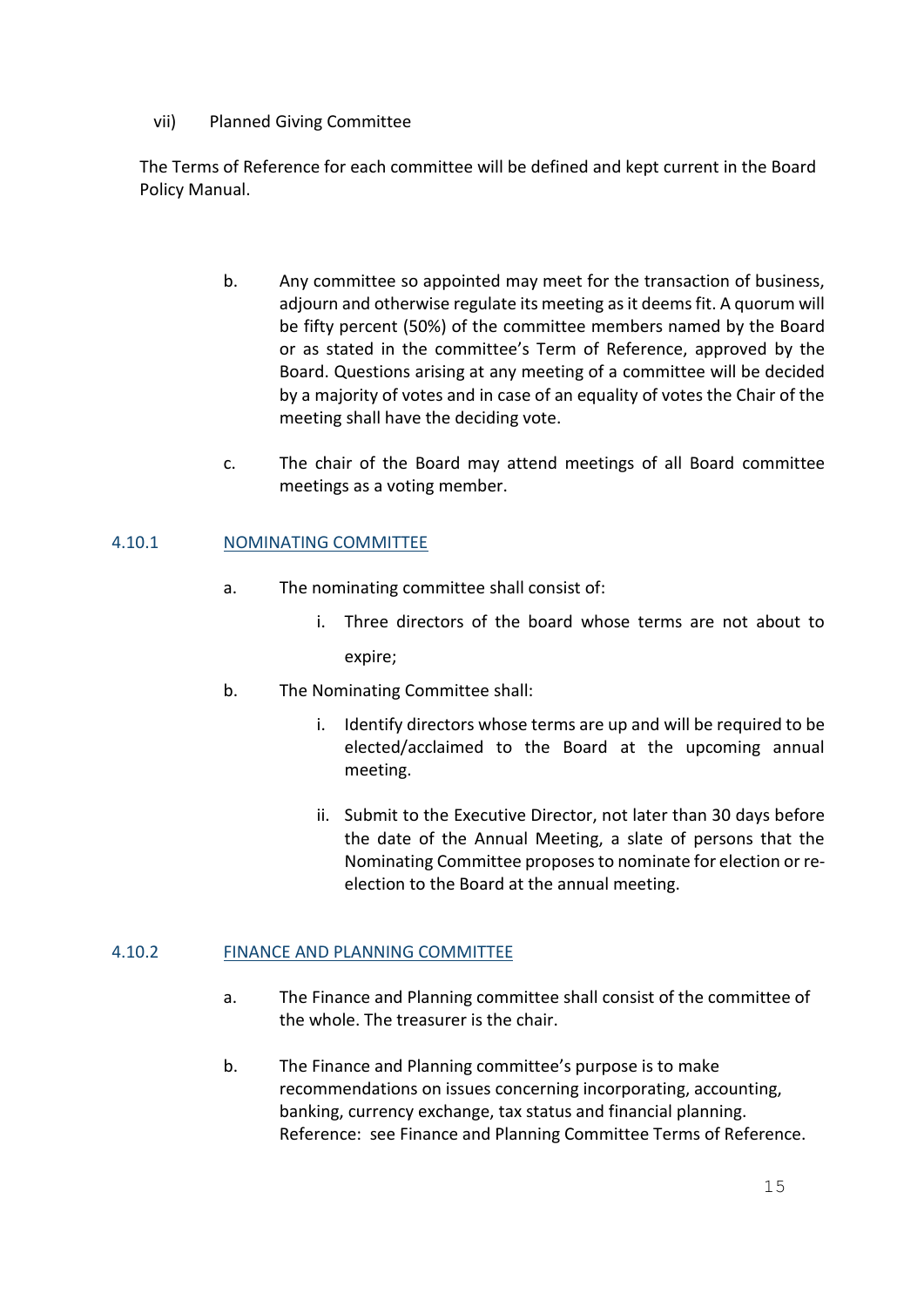#### vii) Planned Giving Committee

The Terms of Reference for each committee will be defined and kept current in the Board Policy Manual.

- b. Any committee so appointed may meet for the transaction of business, adjourn and otherwise regulate its meeting as it deems fit. A quorum will be fifty percent (50%) of the committee members named by the Board or as stated in the committee's Term of Reference, approved by the Board. Questions arising at any meeting of a committee will be decided by a majority of votes and in case of an equality of votes the Chair of the meeting shall have the deciding vote.
- c. The chair of the Board may attend meetings of all Board committee meetings as a voting member.

### 4.10.1 NOMINATING COMMITTEE

- a. The nominating committee shall consist of:
	- i. Three directors of the board whose terms are not about to expire;
- b. The Nominating Committee shall:
	- i. Identify directors whose terms are up and will be required to be elected/acclaimed to the Board at the upcoming annual meeting.
	- ii. Submit to the Executive Director, not later than 30 days before the date of the Annual Meeting, a slate of persons that the Nominating Committee proposes to nominate for election or reelection to the Board at the annual meeting.

### 4.10.2 FINANCE AND PLANNING COMMITTEE

- a. The Finance and Planning committee shall consist of the committee of the whole. The treasurer is the chair.
- b. The Finance and Planning committee's purpose is to make recommendations on issues concerning incorporating, accounting, banking, currency exchange, tax status and financial planning. Reference: see Finance and Planning Committee Terms of Reference.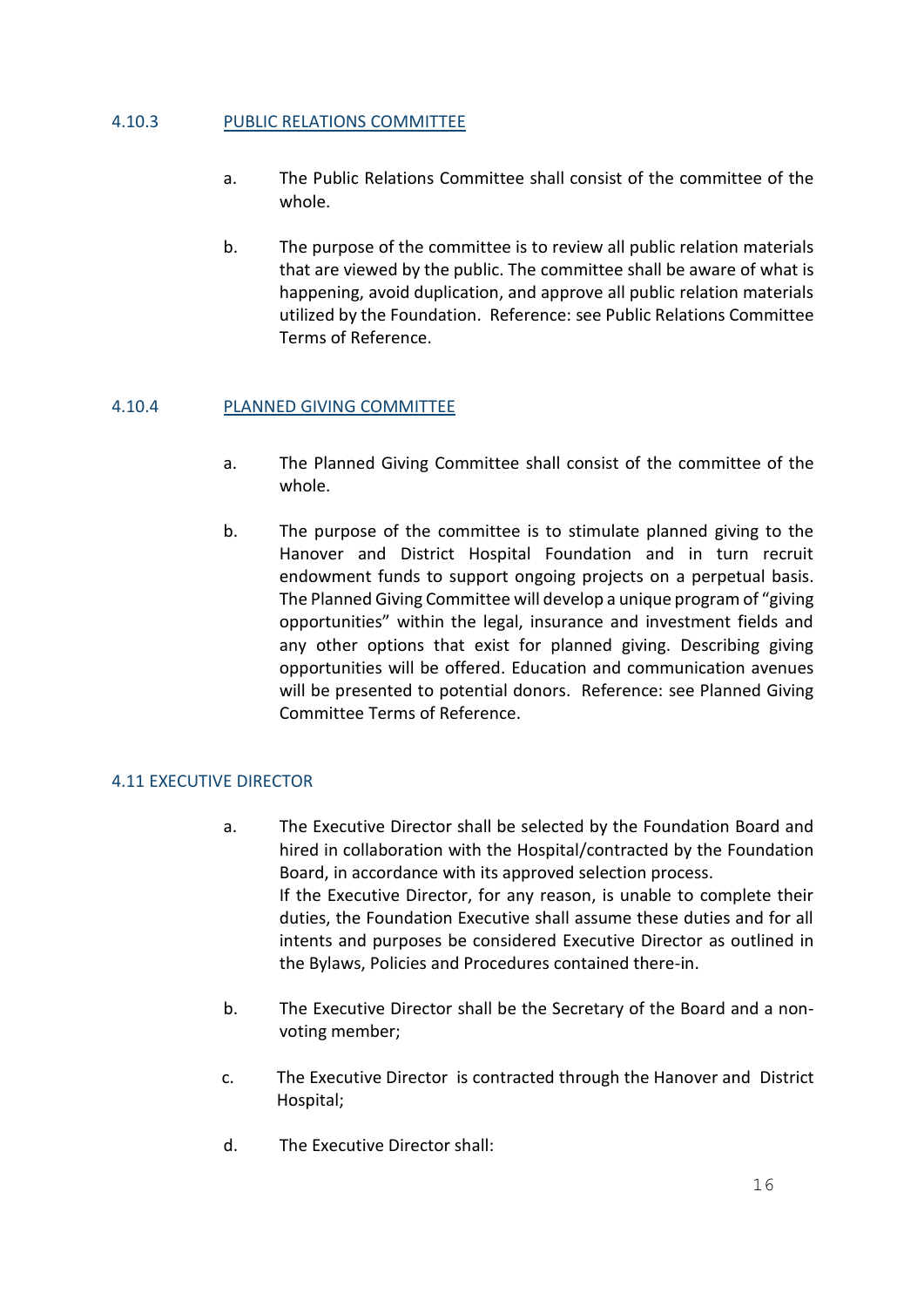#### 4.10.3 PUBLIC RELATIONS COMMITTEE

- a. The Public Relations Committee shall consist of the committee of the whole.
- b. The purpose of the committee is to review all public relation materials that are viewed by the public. The committee shall be aware of what is happening, avoid duplication, and approve all public relation materials utilized by the Foundation. Reference: see Public Relations Committee Terms of Reference.

#### 4.10.4 PLANNED GIVING COMMITTEE

- a. The Planned Giving Committee shall consist of the committee of the whole.
- b. The purpose of the committee is to stimulate planned giving to the Hanover and District Hospital Foundation and in turn recruit endowment funds to support ongoing projects on a perpetual basis. The Planned Giving Committee will develop a unique program of "giving opportunities" within the legal, insurance and investment fields and any other options that exist for planned giving. Describing giving opportunities will be offered. Education and communication avenues will be presented to potential donors. Reference: see Planned Giving Committee Terms of Reference.

#### 4.11 EXECUTIVE DIRECTOR

- a. The Executive Director shall be selected by the Foundation Board and hired in collaboration with the Hospital/contracted by the Foundation Board, in accordance with its approved selection process. If the Executive Director, for any reason, is unable to complete their duties, the Foundation Executive shall assume these duties and for all intents and purposes be considered Executive Director as outlined in the Bylaws, Policies and Procedures contained there-in.
- b. The Executive Director shall be the Secretary of the Board and a nonvoting member;
- c. The Executive Director is contracted through the Hanover and District Hospital;
- d. The Executive Director shall: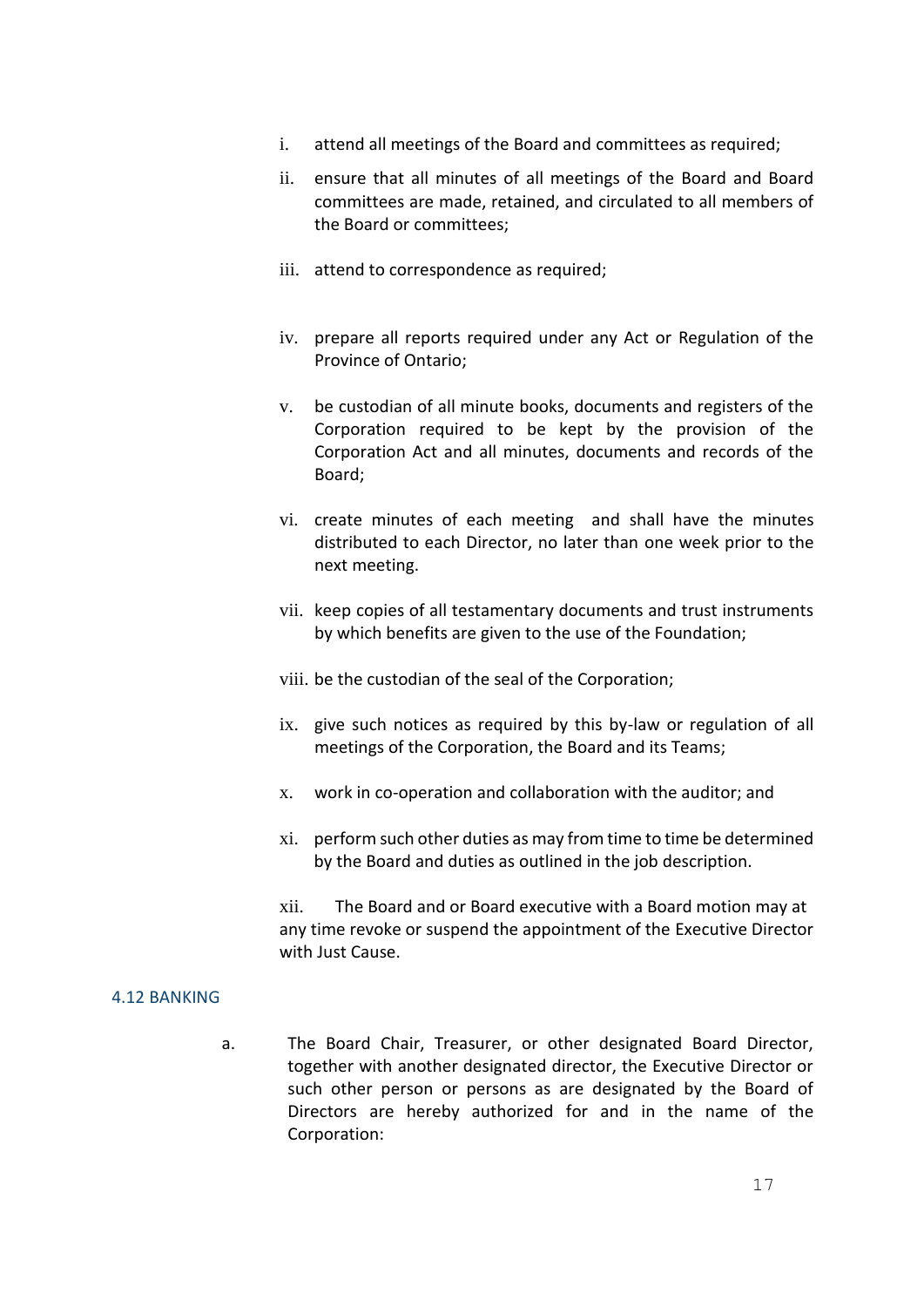- i. attend all meetings of the Board and committees as required;
- ii. ensure that all minutes of all meetings of the Board and Board committees are made, retained, and circulated to all members of the Board or committees;
- iii. attend to correspondence as required;
- iv. prepare all reports required under any Act or Regulation of the Province of Ontario;
- v. be custodian of all minute books, documents and registers of the Corporation required to be kept by the provision of the Corporation Act and all minutes, documents and records of the Board;
- vi. create minutes of each meeting and shall have the minutes distributed to each Director, no later than one week prior to the next meeting.
- vii. keep copies of all testamentary documents and trust instruments by which benefits are given to the use of the Foundation;
- viii. be the custodian of the seal of the Corporation;
- ix. give such notices as required by this by-law or regulation of all meetings of the Corporation, the Board and its Teams;
- x. work in co-operation and collaboration with the auditor; and
- xi. perform such other duties as may from time to time be determined by the Board and duties as outlined in the job description.

xii. The Board and or Board executive with a Board motion may at any time revoke or suspend the appointment of the Executive Director with Just Cause.

#### 4.12 BANKING

a. The Board Chair, Treasurer, or other designated Board Director, together with another designated director, the Executive Director or such other person or persons as are designated by the Board of Directors are hereby authorized for and in the name of the Corporation: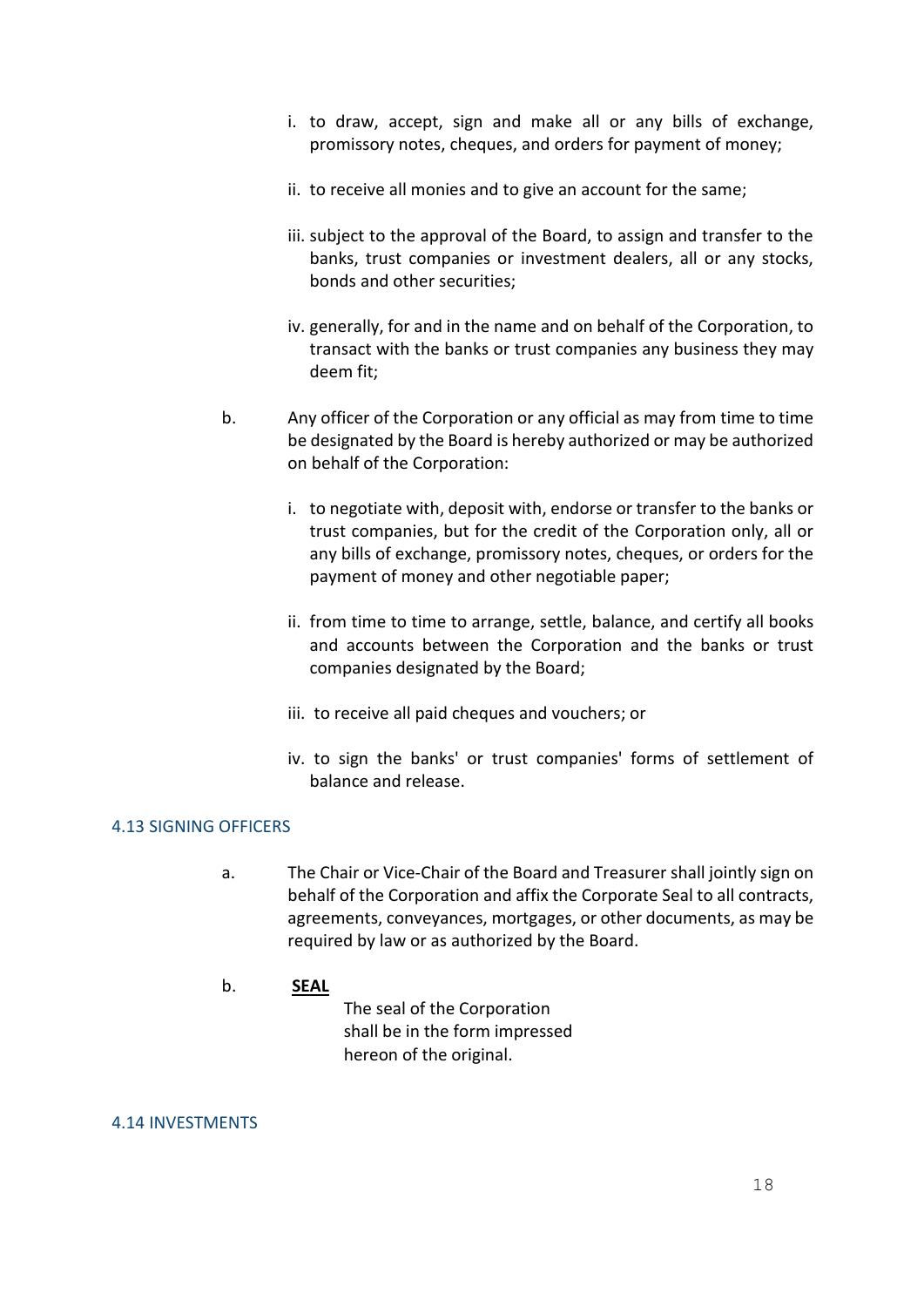- i. to draw, accept, sign and make all or any bills of exchange, promissory notes, cheques, and orders for payment of money;
- ii. to receive all monies and to give an account for the same;
- iii. subject to the approval of the Board, to assign and transfer to the banks, trust companies or investment dealers, all or any stocks, bonds and other securities;
- iv. generally, for and in the name and on behalf of the Corporation, to transact with the banks or trust companies any business they may deem fit;
- b. Any officer of the Corporation or any official as may from time to time be designated by the Board is hereby authorized or may be authorized on behalf of the Corporation:
	- i. to negotiate with, deposit with, endorse or transfer to the banks or trust companies, but for the credit of the Corporation only, all or any bills of exchange, promissory notes, cheques, or orders for the payment of money and other negotiable paper;
	- ii. from time to time to arrange, settle, balance, and certify all books and accounts between the Corporation and the banks or trust companies designated by the Board;
	- iii. to receive all paid cheques and vouchers; or
	- iv. to sign the banks' or trust companies' forms of settlement of balance and release.

#### 4.13 SIGNING OFFICERS

a. The Chair or Vice-Chair of the Board and Treasurer shall jointly sign on behalf of the Corporation and affix the Corporate Seal to all contracts, agreements, conveyances, mortgages, or other documents, as may be required by law or as authorized by the Board.

#### b. **SEAL**

 The seal of the Corporation shall be in the form impressed hereon of the original.

#### 4.14 INVESTMENTS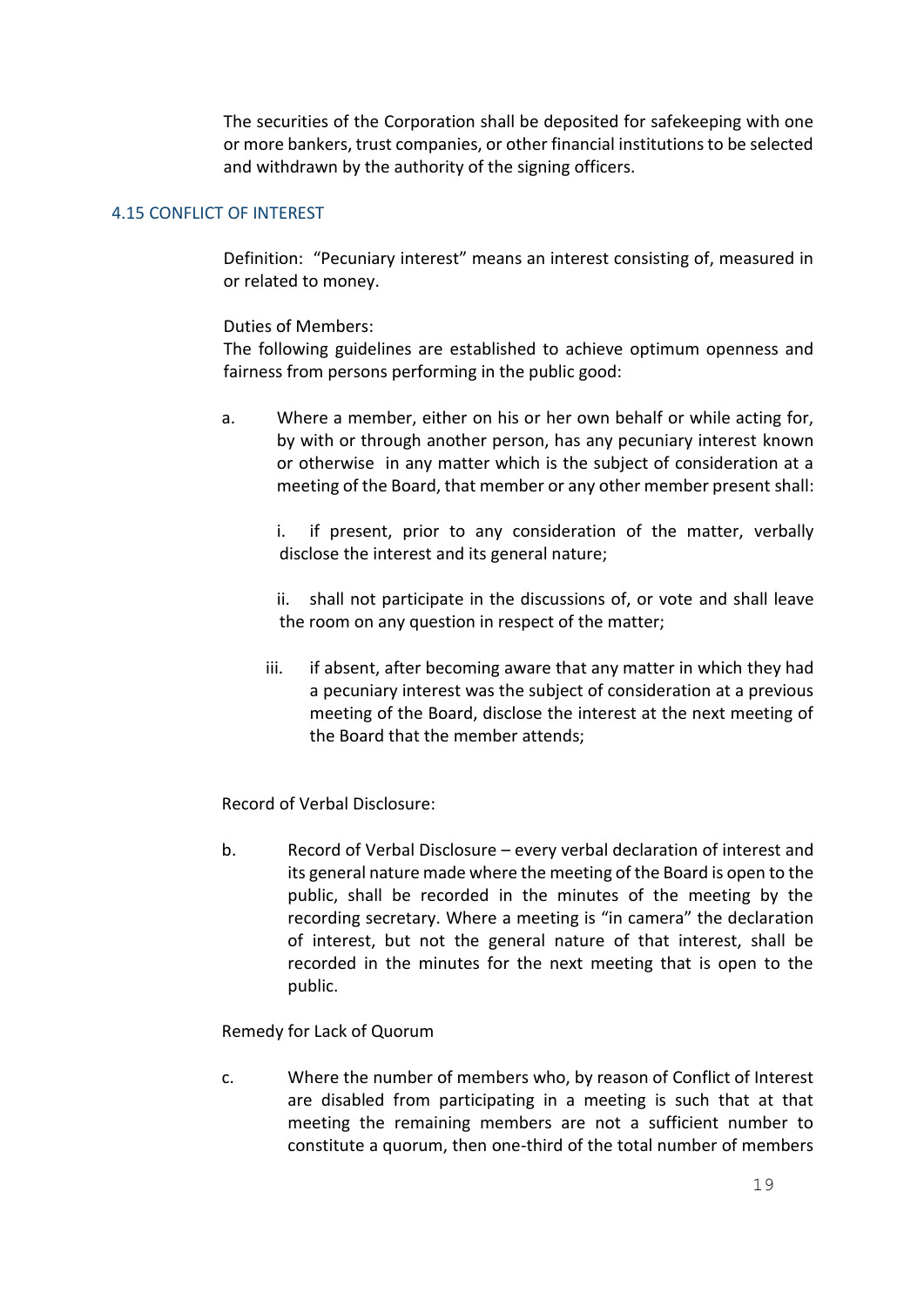The securities of the Corporation shall be deposited for safekeeping with one or more bankers, trust companies, or other financial institutions to be selected and withdrawn by the authority of the signing officers.

#### 4.15 CONFLICT OF INTEREST

Definition: "Pecuniary interest" means an interest consisting of, measured in or related to money.

#### Duties of Members:

The following guidelines are established to achieve optimum openness and fairness from persons performing in the public good:

a. Where a member, either on his or her own behalf or while acting for, by with or through another person, has any pecuniary interest known or otherwise in any matter which is the subject of consideration at a meeting of the Board, that member or any other member present shall:

i. if present, prior to any consideration of the matter, verbally disclose the interest and its general nature;

ii. shall not participate in the discussions of, or vote and shall leave the room on any question in respect of the matter;

iii. if absent, after becoming aware that any matter in which they had a pecuniary interest was the subject of consideration at a previous meeting of the Board, disclose the interest at the next meeting of the Board that the member attends;

Record of Verbal Disclosure:

b. Record of Verbal Disclosure – every verbal declaration of interest and its general nature made where the meeting of the Board is open to the public, shall be recorded in the minutes of the meeting by the recording secretary. Where a meeting is "in camera" the declaration of interest, but not the general nature of that interest, shall be recorded in the minutes for the next meeting that is open to the public.

Remedy for Lack of Quorum

c. Where the number of members who, by reason of Conflict of Interest are disabled from participating in a meeting is such that at that meeting the remaining members are not a sufficient number to constitute a quorum, then one-third of the total number of members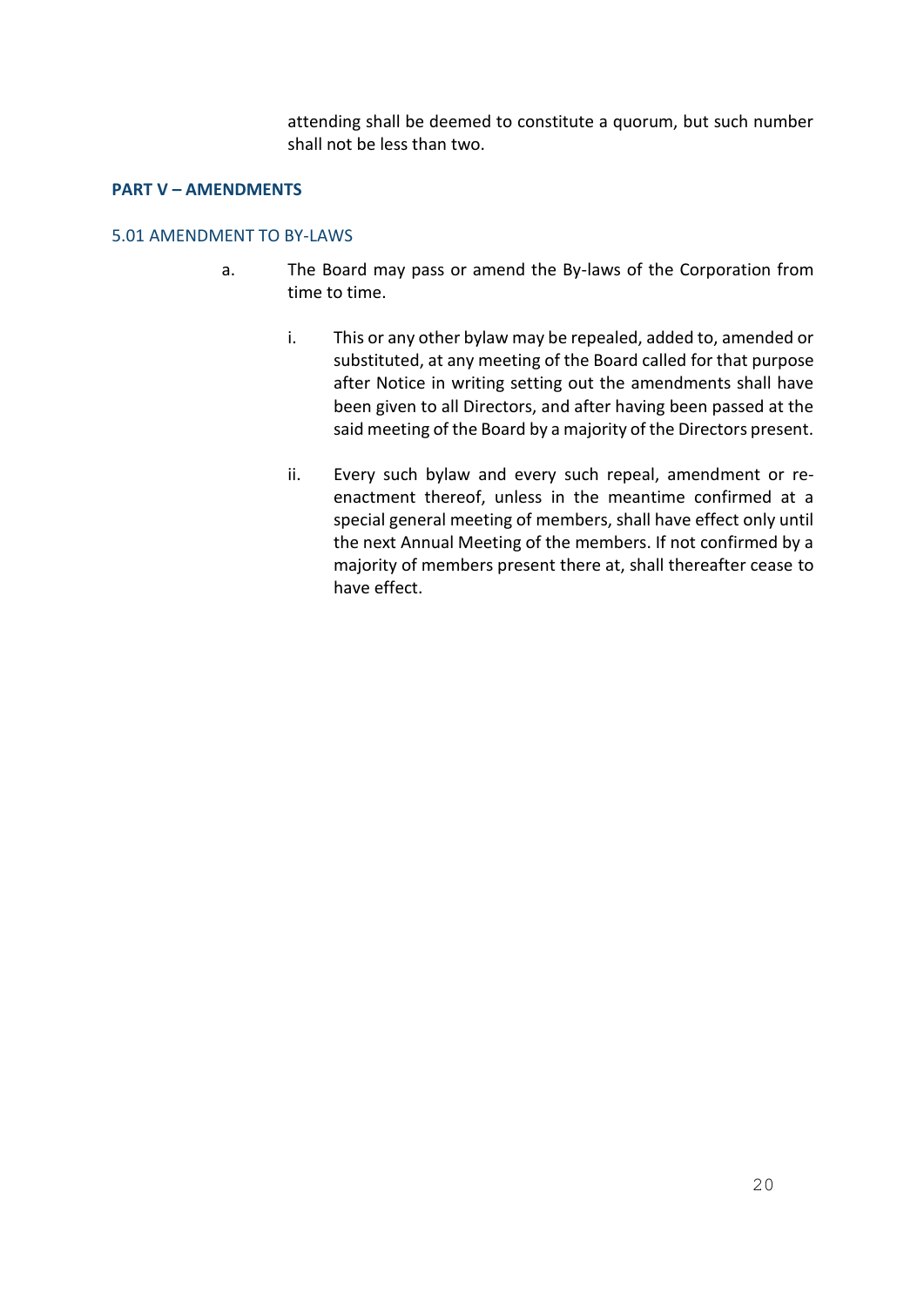attending shall be deemed to constitute a quorum, but such number shall not be less than two.

#### **PART V – AMENDMENTS**

#### 5.01 AMENDMENT TO BY-LAWS

- a. The Board may pass or amend the By-laws of the Corporation from time to time.
	- i. This or any other bylaw may be repealed, added to, amended or substituted, at any meeting of the Board called for that purpose after Notice in writing setting out the amendments shall have been given to all Directors, and after having been passed at the said meeting of the Board by a majority of the Directors present.
	- ii. Every such bylaw and every such repeal, amendment or reenactment thereof, unless in the meantime confirmed at a special general meeting of members, shall have effect only until the next Annual Meeting of the members. If not confirmed by a majority of members present there at, shall thereafter cease to have effect.